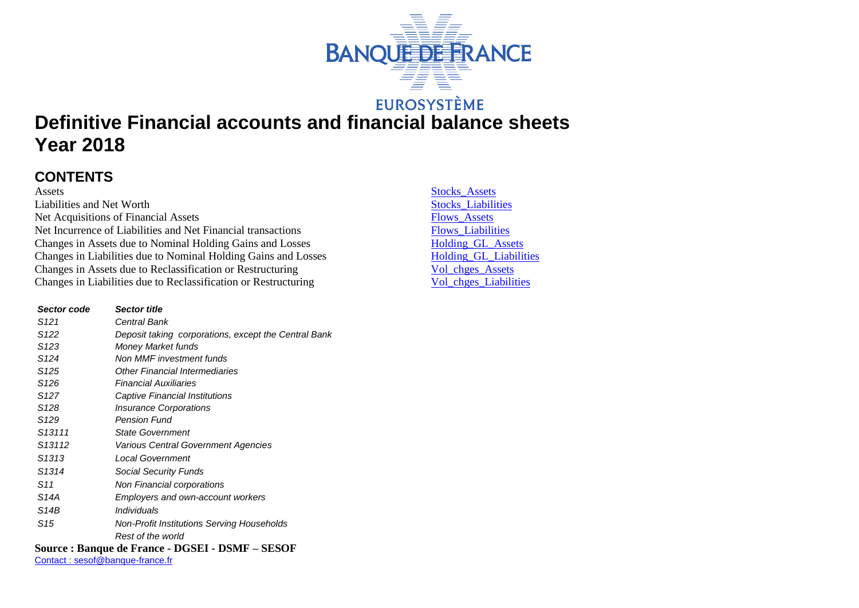

## **EUROSYSTÈME**

# **Definitive Financial accounts and financial balance sheets Year 2018**

### **CONTENTS**

Assets Stocks Assets Liabilities and Net Worth Stocks Liabilities Net Acquisitions of Financial Assets<br>
Net Incurrence of Liabilities and Net Financial transactions<br>
Flows Liabilities Net Incurrence of Liabilities and Net Financial transactions<br>
Changes in Assets due to Nominal Holding Gains and Losses<br>
Holding GL Assets Changes in Assets due to Nominal Holding Gains and Losses<br>
Changes in Liabilities due to Nominal Holding Gains and Losses<br>
Holding GL\_Liabilities Changes in Liabilities due to Nominal Holding Gains and Losses<br>
Changes in Assets due to Reclassification or Restructuring<br>
Vol chges Assets Changes in Assets due to Reclassification or Restructuring Vol chges Assets<br>
Changes in Liabilities due to Reclassification or Restructuring Vol chges Liabilities Changes in Liabilities due to Reclassification or Restructuring

| Sector code        | <b>Sector title</b>                                  |
|--------------------|------------------------------------------------------|
| S <sub>121</sub>   | Central Bank                                         |
| S <sub>122</sub>   | Deposit taking corporations, except the Central Bank |
| S123               | Money Market funds                                   |
| S <sub>124</sub>   | Non MMF investment funds                             |
| S125               | <b>Other Financial Intermediaries</b>                |
| S <sub>126</sub>   | Financial Auxiliaries                                |
| S127               | Captive Financial Institutions                       |
| S <sub>128</sub>   | <b>Insurance Corporations</b>                        |
| S <sub>129</sub>   | <b>Pension Fund</b>                                  |
| S <sub>13111</sub> | <b>State Government</b>                              |
| S <sub>13112</sub> | Various Central Government Agencies                  |
| S <sub>1313</sub>  | Local Government                                     |
| S <sub>1314</sub>  | <b>Social Security Funds</b>                         |
| S11                | Non Financial corporations                           |
| S14A               | <b>Employers and own-account workers</b>             |
| S14B               | Individuals                                          |
| S15                | Non-Profit Institutions Serving Households           |
|                    | Rest of the world                                    |
|                    |                                                      |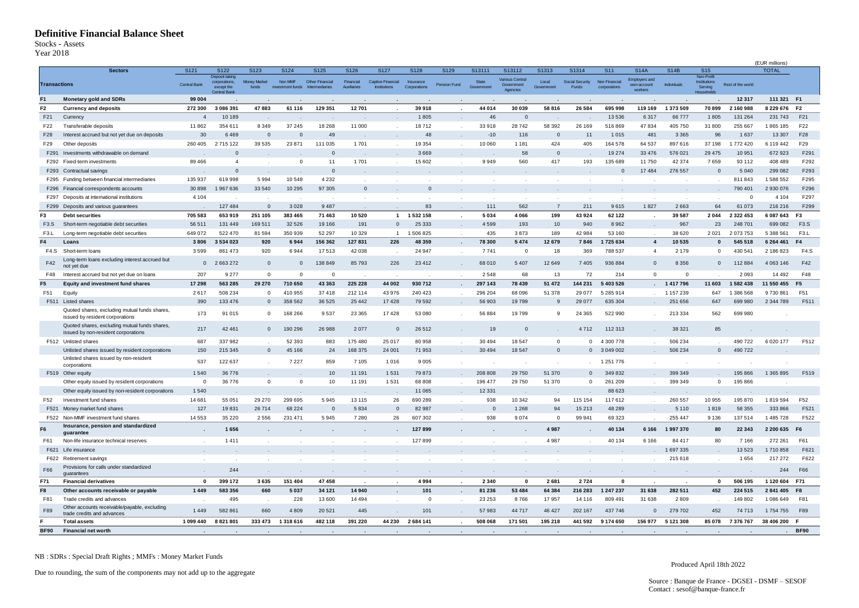#### **Definitive Financial Balance Sheet**

Stocks - Assets

<span id="page-1-0"></span>Year 2018

| Year 2018           | <b>Definitive Financial Balance Sheet</b><br>Stocks - Assets                         |                         |                                                                             |                              |                             |                                  |                          |                                          |                           |                |                     |                                           |                     |                          |                               |                                                |             |                                                           |                   |                                |                   |
|---------------------|--------------------------------------------------------------------------------------|-------------------------|-----------------------------------------------------------------------------|------------------------------|-----------------------------|----------------------------------|--------------------------|------------------------------------------|---------------------------|----------------|---------------------|-------------------------------------------|---------------------|--------------------------|-------------------------------|------------------------------------------------|-------------|-----------------------------------------------------------|-------------------|--------------------------------|-------------------|
|                     | <b>Sectors</b>                                                                       | S <sub>121</sub>        | S122                                                                        | S123                         | S124                        | S125                             | S126                     | S127                                     | S128                      | S129           | S13111              | S13112                                    | S1313               | S1314                    | S <sub>11</sub>               | <b>S14A</b>                                    | <b>S14B</b> | <b>S15</b>                                                |                   | (EUR millions)<br><b>TOTAL</b> |                   |
| <b>Transactions</b> |                                                                                      | Central Bank            | <b>Deposit taking</b><br>corporations,<br>except the<br><b>Central Bank</b> | <b>Money Market</b><br>funds | Non MMF<br>investment funds | Other Financial<br>htermediaries | Financial<br>Auxiliaries | Captive Financial<br><b>Institutions</b> | Insurance<br>Corporations | Pension Fund   | State<br>Government | Various Central<br>Government<br>Agencies | Local<br>Government | Social Security<br>Funds | Non Financial<br>corporations | <b>Employers and</b><br>own-account<br>workers | Individuals | Non-Profit<br><b>Institutions</b><br>Serving<br>Household | Rest of the world |                                |                   |
| F <sub>1</sub>      | <b>Monetary gold and SDRs</b>                                                        | 99 004                  |                                                                             |                              |                             |                                  |                          |                                          |                           |                |                     |                                           |                     |                          |                               |                                                |             |                                                           | 12 3 17           | 111 321 F1                     |                   |
| F <sub>2</sub>      | <b>Currency and deposits</b>                                                         | 272 300                 | 3 086 391                                                                   | 47883                        | 61 116                      | 129 351                          | 12701                    |                                          | 39 918                    |                | 44 014              | 30 039                                    | 58 816              | 26 5 8 4                 | 695 998                       | 119 169                                        | 1 373 509   | 70899                                                     | 2 160 988         | 8 229 676                      | F <sub>2</sub>    |
| F21                 | Currency                                                                             |                         | 10 189                                                                      |                              |                             |                                  |                          |                                          | 1805                      |                | 46                  | $\mathbf 0$                               |                     |                          | 13 536                        | 6317                                           | 66777       | 1805                                                      | 131 264           | 231 743                        | F21               |
| F22                 | Transferable deposits                                                                | 11862                   | 354 611                                                                     | 8 3 4 9                      | 37 245                      | 18 268                           | 11 000                   |                                          | 18712                     | $\sim$         | 33918               | 28742                                     | 58 392              | 26 169                   | 516869                        | 47 834                                         | 405 750     | 31 800                                                    | 255 667           | 1865 185                       | F22               |
| F28                 | Interest accrued but not yet due on deposits                                         | 30                      | 6469                                                                        | $\mathbf{0}$                 | $\mathbf 0$                 | 49                               |                          |                                          | 48                        |                | $-10$               | 116                                       | $\mathbf{0}$        | 11                       | 1 0 1 5                       | 481                                            | 3 3 6 5     | 96                                                        | 1 6 3 7           | 13 307                         | F28               |
| F29                 | Other deposits                                                                       | 260 405                 | 2715122                                                                     | 39 535                       | 23 871                      | 111 035                          | 1701                     | $\sim$                                   | 19 3 54                   |                | 10 060              | 1 1 8 1                                   | 424                 | 405                      | 164 578                       | 64 537                                         | 897 616     | 37 198                                                    | 1772 420          | 6 119 442                      | F29               |
| F291                | Investments withdrawable on demand                                                   |                         | $\Omega$                                                                    |                              |                             | $\overline{0}$                   |                          |                                          | 3669                      |                |                     | 58                                        | $\Omega$            |                          | 19 274                        | 33 4 76                                        | 576 021     | 29 4 75                                                   | 10 951            | 672 923                        | F291              |
| F292                | Fixed-term investments                                                               | 89 466                  | $\overline{4}$                                                              |                              | $\mathbf{0}$                | 11                               | 1701                     |                                          | 15 602                    |                | 9949                | 560                                       | 417                 | 193                      | 135 689                       | 11750                                          | 42 374      | 7659                                                      | 93 112            | 408 489                        | F292              |
| F293                | Contractual savings                                                                  |                         | $\mathbf{0}$                                                                |                              |                             | $\overline{0}$                   |                          |                                          |                           |                |                     |                                           |                     |                          | $\mathbf 0$                   | 17 484                                         | 276 557     | $\mathbf 0$                                               | 5 0 4 0           | 299 082                        | F293              |
| F295                | Funding between financial intermediaries                                             | 135 937                 | 619 998                                                                     | 5994                         | 10 548                      | 4 2 3 2                          | $\overline{\phantom{a}}$ |                                          |                           |                |                     |                                           |                     |                          |                               |                                                |             |                                                           | 811 843           | 1588552                        | F295              |
| F296                | nancial correspondents accounts                                                      | 30 898                  | 1967636                                                                     | 33 540                       | 10 295                      | 97 305                           | $\mathbf{0}$             |                                          | $\mathbf{0}$              |                |                     |                                           |                     |                          |                               |                                                |             | $\mathbf{r}$                                              | 790 401           | 2 930 076                      | F296              |
| F297                | Deposits at international institutions                                               | 4 1 0 4                 |                                                                             |                              |                             |                                  |                          |                                          |                           |                |                     |                                           |                     |                          |                               |                                                |             |                                                           | $\Omega$          | 4 1 0 4                        | F297              |
| F299                | Deposits and various guarantees                                                      |                         | 127 484                                                                     | $\Omega$                     | 3 0 2 8                     | 9 4 8 7                          |                          |                                          | 83                        |                | 111                 | 562                                       | $\overline{7}$      | 211                      | 9615                          | 1827                                           | 2663        | 64                                                        | 61 073            | 216 216                        | F299              |
| F3                  | <b>Debt securities</b>                                                               | 705 583                 | 653 919                                                                     | 251 105                      | 383 465                     | 71 463                           | 10520                    | $\mathbf{1}$                             | 1532158                   | $\blacksquare$ | 5 0 3 4             | 4 0 6 6                                   | 199                 | 43924                    | 62 122                        |                                                | 39 587      | 2044                                                      | 2 3 2 2 4 5 3     | 6 087 643                      | F <sub>3</sub>    |
| F3.S                | Short-term negotiable debt securities                                                | 56 511                  | 131 449                                                                     | 169 511                      | 32 5 26                     | 19 16 6                          | 191                      | $\mathbf{0}$                             | 25 333                    |                | 4599                | 193                                       | 10                  | 940                      | 8962                          |                                                | 967         | 23                                                        | 248 701           | 699 082                        | F3.S              |
| F <sub>3</sub> .L   | Long-term negotiable debt securities                                                 | 649 072                 | 522 470                                                                     | 81 594                       | 350 939                     | 52 297                           | 10 3 29                  | $\overline{1}$                           | 1506825                   |                | 435                 | 3873                                      | 189                 | 42984                    | 53 160                        |                                                | 38 6 20     | 2021                                                      | 2073753           | 5 388 561                      | F <sub>3</sub> .L |
| F4                  | Loans                                                                                | 3806                    | 3 534 023                                                                   | 920                          | 6944                        | 156 362                          | 127831                   | 226                                      | 48 359                    | $\blacksquare$ | 78 300              | 5 4 7 4                                   | 12 679              | 7846                     | 1725634                       | $\overline{4}$                                 | 10535       | $\bf{0}$                                                  | 545 518           | 6 264 461                      | F4                |
| F4.S                | Short-term loans                                                                     | 3599                    | 861 473                                                                     | 920                          | 6944                        | 17513                            | 42 038                   | $\sim$                                   | 24 947                    | $\sim$         | 7741                | $\overline{0}$                            | 18                  | 369                      | 788 537                       | $\overline{4}$                                 | 2 1 7 9     | 0                                                         | 430 541           | 2 186 823                      | F4.S              |
| F42                 | Long-term loans excluding interest accrued but<br>not yet due                        | $\mathbf{0}$            | 2 663 272                                                                   | $\mathbf{0}$                 | $\mathbf 0$                 | 138 849                          | 85793                    | 226                                      | 23 412                    | $\sim$         | 68 010              | 5 4 0 7                                   | 12 649              | 7405                     | 936 884                       | $\mathbf{0}$                                   | 8 3 5 6     | $\mathbf 0$                                               | 112 884           | 4 063 146                      | F42               |
| F48                 | Interest accrued but not yet due on loans                                            | 207                     | 9 2 7 7                                                                     | $\Omega$                     | $\mathbf{0}$                | $\mathbf 0$                      |                          |                                          |                           |                | 2548                | 68                                        | 13                  | 72                       | 214                           | $\Omega$                                       | $^{\circ}$  |                                                           | 2 0 9 3           | 14 492                         | F48               |
| F <sub>5</sub>      | <b>Equity and investment fund shares</b>                                             | 17 298                  | 563 285                                                                     | 29 270                       | 710 650                     | 43 363                           | 225 228                  | 44 002                                   | 930 712                   |                | 297 143             | 78 439                                    | 51 472              | 144 231                  | 5 403 526                     |                                                | 1417796     | 11 603                                                    | 1582438           | 11 550 455                     | F <sub>5</sub>    |
| F51                 | Equity                                                                               | 2617                    | 508 234                                                                     | $^{\circ}$                   | 410 955                     | 37418                            | 212 114                  | 43 976                                   | 240 423                   | $\sim$         | 296 204             | 68 096                                    | 51 378              | 29 0 77                  | 5 285 914                     |                                                | 1 157 239   | 647                                                       | 386 568           | 9730861                        | F51               |
|                     | F511 Listed shares                                                                   | 390                     | 133 476                                                                     | $\mathbf{0}$                 | 358 562                     | 36 525                           | 25 4 4 2                 | 17 4 28                                  | 79 592                    |                | 56 903              | 19799                                     |                     | 29 0 77                  | 635 304                       |                                                | 251 656     | 647                                                       | 699 980           | 2 344 789                      | F511              |
|                     | Quoted shares, excluding mutual funds shares,<br>issued by resident corporations     | 173                     | 91 015                                                                      | $\Omega$                     | 168 266                     | 9537                             | 23 3 65                  | 17428                                    | 53 080                    |                | 56 884              | 19799                                     | -9                  | 24 3 65                  | 522 990                       |                                                | 213 334     | 562                                                       | 699 980           |                                |                   |
|                     | Quoted shares, excluding mutual funds shares,<br>issued by non-resident corporations | 217                     | 42 461                                                                      | $\mathbf{0}$                 | 190 296                     | 26 988                           | 2077                     | $\mathbf 0$                              | 26 512                    |                | 19                  | $\overline{0}$                            |                     | 4712                     | 112 313                       |                                                | 38 321      | 85                                                        |                   |                                |                   |
|                     | F512 Unlisted shares                                                                 | 687                     | 337982                                                                      |                              | 52 393                      | 883                              | 175 480                  | 25 017                                   | 80 958                    |                | 30 494              | 18 547                                    | $\Omega$            | $^{\circ}$               | 4 300 778                     |                                                | 506 234     |                                                           | 490 722           | 6 0 20 177                     | F512              |
|                     | Unlisted shares issued by resident corporations                                      | 150                     | 215 345                                                                     | $\mathbf{0}$                 | 45 166                      | 24                               | 168 375                  | 24 001                                   | 71 953                    |                | 30 494              | 18 547                                    | $\Omega$            |                          | $0$ 3 049 002                 |                                                | 506 234     | $\mathbf 0$                                               | 490 722           |                                |                   |
|                     | Unlisted shares issued by non-resident<br>corporations                               | 537                     | 122 637                                                                     |                              | 7 2 2 7                     | 859                              | 7 1 0 5                  | 1016                                     | 9 0 0 5                   |                |                     |                                           |                     |                          | 1 251 776                     |                                                |             |                                                           |                   |                                |                   |
|                     | F519 Other equity                                                                    | 1540                    | 36 776                                                                      |                              |                             | 10                               | 11 191                   | 1531                                     | 79 873                    |                | 208 808             | 29 750                                    | 51 370              | $\mathbf{0}$             | 349 832                       |                                                | 399 349     |                                                           | 195 866           | 1 365 895                      | F519              |
|                     | Other equity issued by resident corporations                                         | $\overline{\mathbf{0}}$ | 36 776                                                                      | $\mathbf 0$                  | $\mathbf 0$                 | 10                               | 11 191                   | 1531                                     | 68 808                    |                | 196 477             | 29 750                                    | 51 370              | 0                        | 261 209                       |                                                | 399 349     | $^{\circ}$                                                | 195 866           |                                |                   |
|                     | Other equity issued by non-resident corporations                                     | 1540                    |                                                                             |                              |                             | $\cdot$                          |                          | $\sim$                                   | 11 065                    |                | 12 331              |                                           |                     |                          | 88 623                        |                                                |             |                                                           |                   |                                |                   |
| F52                 | Investment fund shares                                                               | 14 681                  | 55 051                                                                      | 29 270                       | 299 695                     | 5945                             | 13115                    | 26                                       | 690 289                   |                | 938                 | 10 342                                    | 94                  | 115 154                  | 117612                        |                                                | 260 557     | 10 955                                                    | 195 870           | 1819594                        | F52               |
| F521                | Money market fund shares                                                             | 127                     | 19831                                                                       | 26714                        | 68 224                      | $\overline{0}$                   | 5834                     | $\mathbf 0$                              | 82 987                    |                | - 0                 | 1 2 6 8                                   | 94                  | 15213                    | 48 289                        |                                                | 5 1 1 0     | 1819                                                      | 58 355            | 333 866                        | F521              |
| F522                | Non-MMF investment fund shares                                                       | 14 5 53                 | 35 2 20                                                                     | 2556                         | 231 471                     | 5945                             | 7280                     | 26                                       | 607 302                   |                | 938                 | 9074                                      | $\Omega$            | 99 941                   | 69 323                        |                                                | 255 447     | 9 1 3 6                                                   | 137 514           | 1 485 728                      | F522              |
| F <sub>6</sub>      | Insurance, pension and standardized                                                  |                         | 1656                                                                        |                              |                             |                                  |                          |                                          | 127 899                   |                |                     |                                           | 4 9 8 7             |                          | 40 134                        | 6 1 6 6                                        | 1997370     | 80                                                        | 22 343            | 2 200 635                      | F <sub>6</sub>    |
|                     | guarantee                                                                            |                         |                                                                             |                              |                             |                                  |                          |                                          |                           |                |                     |                                           |                     |                          |                               |                                                |             |                                                           |                   |                                |                   |
| F61                 | Non-life insurance technical reserves                                                |                         | 1411                                                                        |                              |                             | $\cdot$                          | $\cdot$                  |                                          | 127 899                   | $\sim$         |                     | $\sim$                                    | 4987                |                          | 40 134                        | 6 1 6 6                                        | 84 417      | 80                                                        | 7 1 6 6           | 272 261                        | F61               |
|                     | F621 Life insurance                                                                  |                         |                                                                             |                              |                             |                                  |                          |                                          |                           |                |                     |                                           |                     |                          |                               |                                                | 1 697 335   |                                                           | 13 5 23           | 1710858                        | F621              |
| F622                | Retirement savings                                                                   |                         | $\cdot$                                                                     |                              |                             | $\cdot$                          | $\cdot$                  | $\sim$                                   | $\cdot$                   | $\sim$         |                     | $\cdot$                                   |                     |                          |                               |                                                | 215 618     |                                                           | 1654              | 217 272                        | F622              |
| F66                 | Provisions for calls under standardized<br>quarantees                                |                         | 244                                                                         | $\sim$                       | $\ddot{\phantom{a}}$        | $\sim$                           | $\sim$                   | $\sim$                                   | $\sim$                    | $\sim$         | $\sim$              | $\sim$                                    | $\sim$              | $\sim$                   | $\cdot$                       | $\cdot$                                        | $\sim$      | $\ddot{\phantom{a}}$                                      |                   | 244                            | F66               |
| F71                 | <b>Financial derivatives</b>                                                         | $\mathbf 0$             | 399 172                                                                     | 3635                         | 151 404                     | 47 458                           | $\cdot$                  | $\cdot$                                  | 4994                      | $\cdot$        | 2 3 4 0             | $\mathbf 0$                               | 2681                | 2724                     | $\mathbf 0$                   |                                                |             | 0                                                         | 506 195           | 1 120 604 F71                  |                   |
| F8                  | Other accounts receivable or payable                                                 | 1449                    | 583 356                                                                     | 660                          | 5 0 3 7                     | 34 121                           | 14 940                   | $\blacksquare$                           | 101                       | $\sim$         | 81 236              | 53 4 8 4                                  | 64 384              | 216 283                  | 1 247 237                     | 31 638                                         | 282 511     | 452                                                       | 224 515           | 2841405 F8                     |                   |
| F81                 | Trade credits and advances                                                           |                         | 495                                                                         | $\sim$                       | 228                         | 13 600                           | 14 4 9 4                 | $\sim$                                   | $\overline{0}$            | $\sim$         | 23 253              | 8766                                      | 17957               | 14 116                   | 809 491                       | 31 638                                         | 2809        |                                                           | 149 802           | 1086649                        | F81               |
| F89                 | Other accounts receivable/payable, excluding<br>trade credits and advances           | 1449                    | 582 861                                                                     | 660                          | 4809                        | 20 5 21                          | 445                      |                                          | 101                       | $\sim$         | 57983               | 44 717                                    | 46 427              | 202 167                  | 437 746                       | $\mathbf{0}$                                   | 279 702     | 452                                                       | 74 713            | 1754755                        | F89               |
|                     | <b>Total assets</b>                                                                  | 1 099 440               | 8821801                                                                     | 333 473                      | 1318616                     | 482 118                          | 391 220                  | 44 230                                   | 2684 141                  |                | 508 068             | 171 501                                   | 195 218             | 441 592                  | 9 174 650                     | 156 977                                        | 5 121 308   | 85 078                                                    | 7376767           | 38 406 200                     | - F               |
| <b>BF90</b>         | <b>Financial net worth</b>                                                           |                         |                                                                             |                              |                             |                                  | $\sim$                   |                                          |                           |                |                     | $\sim$                                    |                     |                          |                               |                                                |             |                                                           |                   |                                | . BF90            |

NB : SDRs : Special Draft Rights ; MMFs : Money Market Funds

Due to rounding, the sum of the components may not add up to the aggregate

Produced April 18th 2022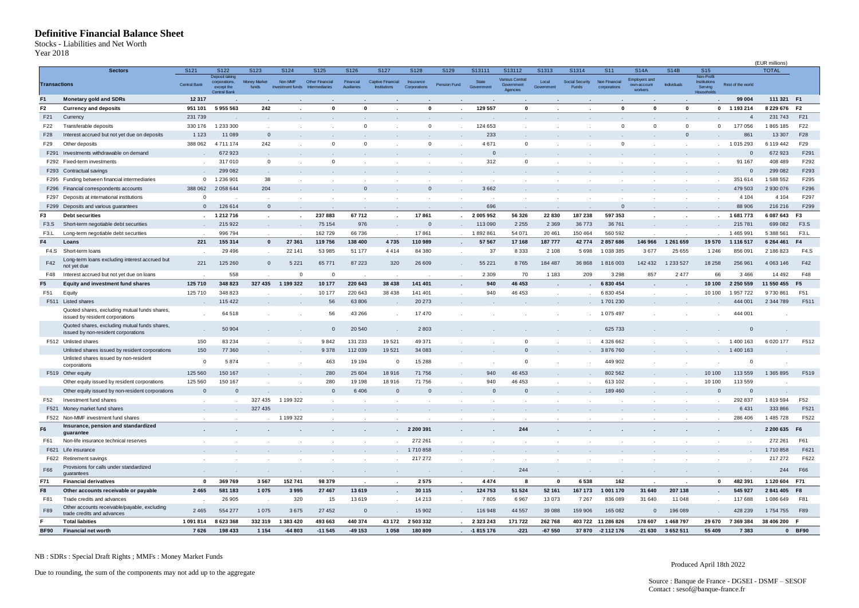#### **Definitive Financial Balance Sheet**

<span id="page-2-0"></span>Stocks - Liabilities and Net Worth Year 2018

| ear 2018                | Definitive Financial Balance Sheet<br>tocks - Liabilities and Net Worth              |                          |                                                                      |                              |                             |                                          |                          |                                          |                           |              |                     |                                                  |                     |                          |                               |                                                |                   |                                                            |                          |                                |                         |
|-------------------------|--------------------------------------------------------------------------------------|--------------------------|----------------------------------------------------------------------|------------------------------|-----------------------------|------------------------------------------|--------------------------|------------------------------------------|---------------------------|--------------|---------------------|--------------------------------------------------|---------------------|--------------------------|-------------------------------|------------------------------------------------|-------------------|------------------------------------------------------------|--------------------------|--------------------------------|-------------------------|
|                         | <b>Sectors</b>                                                                       | S121                     | S122                                                                 | S123                         | S124                        | S125                                     | S126                     | S127                                     | S128                      | S129         | S13111              | S13112                                           | S1313               | S1314                    | <b>S11</b>                    | <b>S14A</b>                                    | <b>S14B</b>       | <b>S15</b>                                                 |                          | (EUR millions)<br><b>TOTAL</b> |                         |
| <b>Transactions</b>     |                                                                                      | <b>Central Bank</b>      | Deposit taking<br>corporations,<br>except the<br><b>Central Bank</b> | <b>Money Market</b><br>funds | Non MMF<br>investment funds | Other Financial<br><b>Intermediaries</b> | Financial<br>Auxiliaries | Captive Financial<br><b>Institutions</b> | Insurance<br>Corporations | Pension Fund | State<br>Government | <b>Various Central</b><br>Government<br>Agencies | Local<br>Government | Social Security<br>Funds | Non Financial<br>corporations | <b>Employers and</b><br>own-account<br>workers | Individuals       | Non-Profit<br><b>Institutions</b><br>Serving<br>Household: | Rest of the world        |                                |                         |
| F <sub>1</sub>          | <b>Monetary gold and SDRs</b>                                                        | 12 3 17                  |                                                                      |                              |                             |                                          |                          |                                          |                           |              |                     |                                                  |                     |                          |                               |                                                |                   |                                                            | 99 004                   | 111 321 F1                     |                         |
| F <sub>2</sub>          | <b>Currency and deposits</b>                                                         | 951 101                  | 5955563                                                              | 242                          |                             | $\mathbf{0}$                             | $\Omega$                 |                                          | $\mathbf{0}$              |              | 129 557             | $\mathbf{0}$                                     |                     |                          | $\bf{0}$                      | $\mathbf{0}$                                   | $\mathbf 0$       | $\mathbf{0}$                                               | 1 193 214                | 8 229 676                      | F <sub>2</sub>          |
| F21                     | Currency                                                                             | 231 739                  |                                                                      |                              |                             |                                          |                          |                                          |                           |              |                     |                                                  |                     |                          |                               |                                                |                   |                                                            | $\overline{4}$           | 231 743                        | F21                     |
| F22                     | Transferable deposits                                                                | 330 176                  | 1 233 300                                                            |                              |                             | $\mathbf{r}$                             | $^{\circ}$               |                                          | $^{\circ}$                | $\cdot$      | 124 653             |                                                  |                     |                          | $\mathbf 0$                   | $^{\circ}$                                     | $^{\circ}$        | $^{\circ}$                                                 | 177 056                  | 1865 185                       | F22                     |
| F28                     | Interest accrued but not yet due on deposits                                         | 1 1 2 3                  | 11 089                                                               | $\mathbf 0$                  |                             |                                          |                          |                                          |                           |              | 233                 |                                                  |                     |                          |                               |                                                | $\mathbf{0}$      |                                                            | 861                      | 13 307                         | F28                     |
| F29                     | Other deposits                                                                       | 388 062                  | 4711174                                                              | 242                          |                             | $\mathbf 0$                              | 0                        |                                          | $\mathbf 0$               | $\epsilon$   | 4 6 7 1             | $\mathbf 0$                                      |                     |                          | $\mathbf 0$                   |                                                | $\sim$            | $\ddot{\phantom{0}}$                                       | 1015293                  | 6 119 442                      | F <sub>29</sub>         |
|                         | F291 Investments withdrawable on demand                                              |                          | 672 923                                                              |                              |                             |                                          |                          |                                          |                           |              | $\mathbf{0}$        |                                                  |                     |                          |                               |                                                |                   |                                                            | $\mathbf 0$              | 672 923                        | F291                    |
|                         | F292 Fixed-term investments                                                          |                          | 317010                                                               | $\mathbf 0$                  |                             | $\mathbf 0$                              |                          |                                          |                           | $\cdot$      | 312                 | $\overline{0}$                                   |                     |                          |                               |                                                |                   |                                                            | 91 167                   | 408 489                        | F292                    |
|                         | F293 Contractual savings                                                             |                          | 299 082                                                              |                              |                             |                                          |                          |                                          |                           |              |                     |                                                  |                     |                          |                               |                                                |                   |                                                            | $\mathbf{0}$             | 299 082                        | F293                    |
|                         | F295 Funding between financial intermediaries                                        | $\mathbf 0$              | 1 236 901                                                            | 38                           |                             |                                          |                          |                                          |                           |              | $\sim$              |                                                  |                     |                          |                               |                                                |                   |                                                            | 351 614                  | 1588552                        | F295                    |
|                         | F296 Financial correspondents accounts                                               | 388 062                  | 2058644                                                              | 204                          |                             |                                          | $\mathbf 0$              |                                          | $\mathbf 0$               |              | 3662                |                                                  |                     |                          |                               |                                                |                   |                                                            | 479 503                  | 2930076                        | F296                    |
| F297                    | Deposits at international institutions                                               | $\Omega$                 |                                                                      |                              |                             |                                          |                          |                                          |                           |              |                     |                                                  |                     |                          |                               |                                                |                   |                                                            | 4 1 0 4                  | 4 1 0 4                        | F297                    |
|                         | F299 Deposits and various guarantees                                                 | $\Omega$                 | 126 614                                                              | $\mathbf{0}$                 |                             |                                          |                          | $\sim$                                   |                           |              | 696                 |                                                  |                     |                          | $\Omega$                      |                                                |                   |                                                            | 88 906                   | 216 216                        | F299                    |
| F3                      | <b>Debt securities</b>                                                               |                          | 1 212 716                                                            | $\epsilon$                   | $\sim$                      | 237883                                   | 67712                    | $\cdot$                                  | 17861                     | $\epsilon$   | 2005952             | 56 326                                           | 22 830              | 187 238                  | 597 353                       |                                                |                   |                                                            | 1681773                  | 6 087 643                      | F <sub>3</sub>          |
| F <sub>3</sub> .S       | Short-term negotiable debt securities<br>Long-term negotiable debt securities        |                          | 215 922                                                              |                              |                             | 75 154                                   | 976                      |                                          | $\mathbf 0$               |              | 113 090             | 2 2 5 5                                          | 2 3 6 9             | 36773                    | 36 761                        |                                                |                   |                                                            | 215 781                  | 699 082                        | F3.S                    |
| F <sub>3</sub> .L<br>F4 | Loans                                                                                | 221                      | 996 794<br>155 314                                                   | $\bf{0}$                     | 27 361                      | 162729                                   | 66736                    | 4735                                     | 17861                     |              | 1892861<br>57 567   | 54 071                                           | 20 461              | 150 464                  | 560 592                       |                                                | 1 261 659         |                                                            | 1 465 991                | 5 388 561<br>6 264 461         | F <sub>3</sub> .L<br>F4 |
| F4.S                    | Short-term loans                                                                     | $\overline{\phantom{a}}$ | 29 4 9 6                                                             |                              | 22 141                      | 119756<br>53 985                         | 138 400<br>51 177        | 4414                                     | 110 989<br>84 380         | $\sim$       | 37                  | 17 168<br>8 3 3 3                                | 187777<br>2 1 0 8   | 42774<br>5698            | 2857686<br>1 038 385          | 146 966<br>3677                                | 25 655            | 19570<br>1 2 4 6                                           | 1 1 1 6 5 1 7<br>856 091 | 2 186 823                      | F4.S                    |
| F42                     | Long-term loans excluding interest accrued but<br>not yet due                        | 221                      | 125 260                                                              | $\mathbf 0$                  | 5 2 2 1                     | 65771                                    | 87 2 23                  | 320                                      | 26 609                    | $\epsilon$   | 55 221              | 8765                                             | 184 487             | 36 868                   | 1816003                       | 142 432                                        | 1 233 527         | 18 25 8                                                    | 256 961                  | 4 0 63 1 46                    | F42                     |
| F48                     | Interest accrued but not yet due on loans                                            |                          | 558                                                                  |                              | $^{\circ}$                  | $\mathbf{0}$                             |                          |                                          |                           |              | 2 3 0 9             | 70                                               | 1 1 8 3             | 209                      | 3 2 9 8                       | 857                                            | 2477              | 66                                                         | 3 4 6 6                  | 14 492                         | F48                     |
| F <sub>5</sub>          | <b>Equity and investment fund shares</b>                                             | 125 710                  | 348 823                                                              | 327 435                      | 1 199 322                   | 10 177                                   | 220 643                  | 38 4 38                                  | 141 401                   |              | 940                 | 46 453                                           |                     |                          | 6 830 454                     |                                                |                   | 10 100                                                     | 2 2 5 0 5 5 9            | 11 550 455                     | F <sub>5</sub>          |
| F51                     | Equity                                                                               | 125 710                  | 348 823                                                              |                              |                             | 10 177                                   | 220 643                  | 38 4 38                                  | 141 401                   |              | 940                 | 46 453                                           |                     |                          | 6 830 454                     |                                                |                   | 10 100                                                     | 1957722                  | 9730861                        | F51                     |
|                         | F511 Listed shares                                                                   |                          | 115 422                                                              |                              |                             | 56                                       | 63806                    |                                          | 20 27 3                   |              |                     |                                                  |                     |                          | 1701230                       |                                                |                   |                                                            | 444 001                  | 2 344 789                      | F511                    |
|                         | Quoted shares, excluding mutual funds shares,<br>issued by resident corporations     |                          | 64 518                                                               |                              |                             | 56                                       | 43 266                   |                                          | 17470                     |              |                     |                                                  |                     |                          | 1 075 497                     |                                                |                   |                                                            | 444 001                  |                                |                         |
|                         | Quoted shares, excluding mutual funds shares,<br>issued by non-resident corporations |                          | 50 904                                                               |                              |                             | $\mathbf 0$                              | 20 540                   |                                          | 2803                      |              |                     | $\mathbf 0$                                      |                     |                          | 625 733                       |                                                |                   |                                                            | $\mathbf 0$              |                                |                         |
|                         | F512 Unlisted shares<br>Unlisted shares issued by resident corporations              | 150<br>150               | 83 2 34<br>77 360                                                    |                              |                             | 9842<br>9378                             | 131 233<br>112 039       | 19521<br>19521                           | 49 371<br>34 083          |              |                     | $\overline{0}$                                   |                     |                          | 4 326 662<br>3876760          |                                                |                   |                                                            | 1 400 163<br>1 400 163   | 6 0 20 177                     | F512                    |
|                         | Unlisted shares issued by non-resident                                               |                          |                                                                      |                              |                             |                                          |                          |                                          |                           |              |                     |                                                  |                     |                          |                               |                                                |                   |                                                            |                          |                                |                         |
|                         | corporations                                                                         | $\mathbf 0$              | 5874                                                                 |                              |                             | 463                                      | 19 1 9 4                 | $\mathbf 0$                              | 15 288                    |              |                     | $^{\circ}$                                       |                     |                          | 449 902                       |                                                |                   |                                                            | 0                        |                                |                         |
|                         | F519 Other equity                                                                    | 125 560                  | 150 167                                                              |                              |                             | 280                                      | 25 604                   | 18916                                    | 71 756                    |              | 940                 | 46 453                                           |                     |                          | 802 562                       |                                                |                   | 10 100                                                     | 113 559                  | 1 365 895                      | F519                    |
|                         | Other equity issued by resident corporations                                         | 125 560                  | 150 167                                                              |                              |                             | 280                                      | 19 198                   | 18916                                    | 71 756                    |              | 940                 | 46 453                                           |                     |                          | 613 102                       |                                                |                   | 10 100                                                     | 113 559                  |                                |                         |
|                         | Other equity issued by non-resident corporations                                     | $\overline{0}$           | $\mathbf 0$                                                          |                              |                             | $\mathbf 0$                              | 6406                     | $\mathbf{0}$                             | $\mathbf 0$               |              | $\mathbf{0}$        | $\mathbf 0$                                      |                     |                          | 189460                        |                                                |                   | $\mathbf 0$                                                | $\mathbf 0$              |                                |                         |
| F52                     | Investment fund shares                                                               |                          |                                                                      | 327 435                      | 1 199 322                   |                                          |                          |                                          |                           |              |                     |                                                  |                     |                          |                               |                                                |                   |                                                            | 292 837                  | 1819594                        | F52                     |
|                         | F521 Money market fund shares                                                        |                          |                                                                      | 327 435                      |                             | $\cdot$                                  |                          |                                          |                           |              |                     |                                                  |                     |                          |                               |                                                | $\sim$            |                                                            | 6431                     | 333 866                        | F521                    |
|                         | F522 Non-MMF investment fund shares<br>Insurance, pension and standardized           |                          |                                                                      |                              | 1 199 322                   |                                          |                          |                                          |                           |              |                     |                                                  |                     |                          |                               |                                                |                   |                                                            | 286 406                  | 1 485 728                      | F522                    |
| F6<br>F61               | guarantee<br>Non-life insurance technical reserves                                   | $\sim$                   |                                                                      |                              |                             | $\cdot$                                  | $\cdot$                  | $\sim$                                   | 2 200 391<br>272 261      | $\sim$       | $\sim$              | 244<br>$\sim$                                    |                     | $\sim$                   |                               |                                                |                   |                                                            | $\sim$                   | 2 200 635<br>272 261           | F <sub>6</sub><br>F61   |
|                         | F621 Life insurance                                                                  |                          |                                                                      |                              |                             |                                          |                          |                                          | 1710858                   |              |                     |                                                  |                     |                          |                               |                                                |                   |                                                            |                          | 1710858                        | F621                    |
|                         | F622 Retirement savings                                                              |                          |                                                                      |                              |                             |                                          | $\cdot$                  | $\sim$                                   | 217 272                   | $\cdot$      |                     |                                                  |                     |                          |                               |                                                | $\cdot$           |                                                            |                          | 217 272                        | F622                    |
| F66                     | Provisions for calls under standardized                                              | $\sim$                   |                                                                      | $\sim$                       | $\cdot$                     | $\sim$                                   | $\sim$                   | $\sim$                                   | $\sim$                    | $\sim$       | $\sim$              | 244                                              | $\sim$              | $\sim$                   | $\sim$                        | $\sim$                                         | $\sim$            | $\blacksquare$                                             |                          | 244                            | F66                     |
| F71                     | guarantees<br><b>Financial derivatives</b>                                           | $\mathbf{0}$             | 369769                                                               | 3567                         | 152 741                     | 98 379                                   | $\mathbf{r}$             | $\cdot$                                  | 2575                      | $\cdot$      | 4 4 7 4             | 8                                                | $\mathbf 0$         | 6538                     | 162                           |                                                |                   | $\mathbf 0$                                                | 482 391                  | 1 120 604 F71                  |                         |
| F8                      | Other accounts receivable or payable                                                 | 2465                     | 581 183                                                              | 1 0 7 5                      | 3995                        | 27 467                                   | 13619                    | $\sim$                                   | 30 115                    | $\cdot$      | 124 753             | 51 524                                           | 52 161              | 167 173                  | 1 001 170                     | 31 640                                         | 207 138           |                                                            | 545 927                  | 2841405 F8                     |                         |
| F81                     | Trade credits and advances                                                           | $\sim$                   | 26 905                                                               | $\sim$                       | 320                         | 15                                       | 13619                    | $\sim$                                   | 14 213                    | $\mathbf{r}$ | 7805                | 6967                                             | 13 073              | 7 2 6 7                  | 836 089                       | 31 640                                         | 11 048            |                                                            | 117688                   | 1086649                        | F81                     |
| F89                     | Other accounts receivable/payable, excluding<br>trade credits and advances           | 2 4 6 5                  | 554 277                                                              | 1075                         | 3675                        | 27 452                                   | $\overline{0}$           |                                          | 15 902                    | $\sim$       | 116 948             | 44 5 57                                          | 39 088              | 159 906                  | 165 082                       | $\mathbf{0}$                                   | 196 089           |                                                            | 428 239                  | 1754755                        | F89                     |
|                         | <b>Total liabities</b>                                                               | 1091814                  | 8623368                                                              | 332 319                      | 1 383 420                   | 493 663                                  | 440 374                  | 43 172                                   | 2503332                   | $\sim$       | 2 3 2 3 2 4 3       | 171 722                                          | 262 768             |                          | 403 722 11 286 826            | 178 607                                        | 1 468 797         | 29 670                                                     | 7 369 384                | 38 406 200                     | - F                     |
| <b>BF90</b>             | <b>Financial net worth</b>                                                           | 7626                     | 198 433                                                              | 1 1 5 4                      | $-64803$                    | $-11545$                                 | $-49153$                 | 1 0 5 8                                  | 180 809                   |              | -1815 176           | $-221$                                           | $-67550$            |                          | 37 870 -2 112 176             |                                                | -21 630 3 652 511 | 55 409                                                     | 7383                     |                                | 0 BF90                  |

NB : SDRs : Special Draft Rights ; MMFs : Money Market Funds

Produced April 18th 2022

Due to rounding, the sum of the components may not add up to the aggregate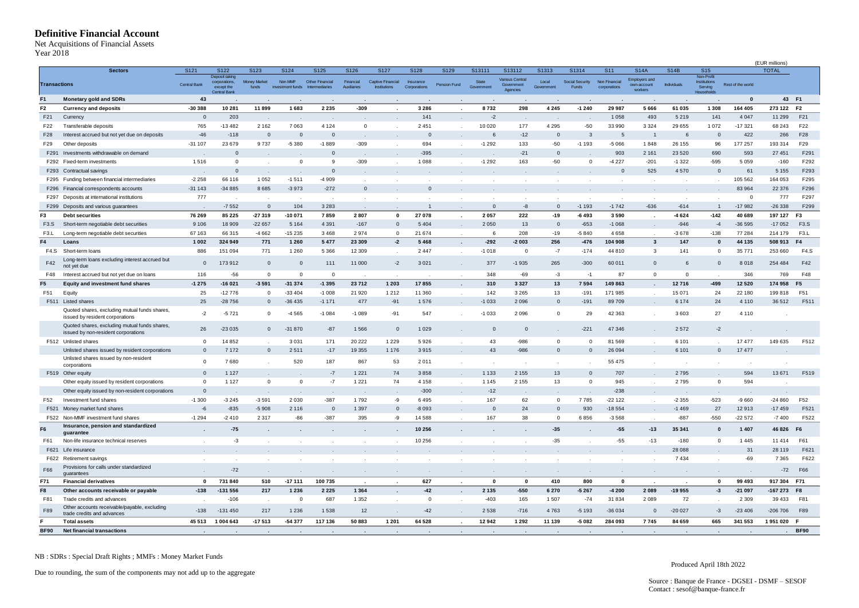#### <span id="page-3-0"></span>**Definitive Financial Account**

| Year 2018           | <b>Definitive Financial Account</b><br><b>Net Acquisitions of Financial Assets</b>                                                |                 |                                               |                              |                             |                                          |                          |                                          |                           |                      |                     |                                           |                     |                          |                               |                                                |                   |                                              |                       |                                |                   |
|---------------------|-----------------------------------------------------------------------------------------------------------------------------------|-----------------|-----------------------------------------------|------------------------------|-----------------------------|------------------------------------------|--------------------------|------------------------------------------|---------------------------|----------------------|---------------------|-------------------------------------------|---------------------|--------------------------|-------------------------------|------------------------------------------------|-------------------|----------------------------------------------|-----------------------|--------------------------------|-------------------|
|                     | <b>Sectors</b>                                                                                                                    | S121            | S122                                          | S123                         | S124                        | S125                                     | S126                     | S127                                     | S128                      | S129                 | S13111              | S13112                                    | S1313               | S1314                    | S <sub>11</sub>               | <b>S14A</b>                                    | <b>S14B</b>       | <b>S15</b>                                   |                       | (EUR millions)<br><b>TOTAL</b> |                   |
| <b>Transactions</b> |                                                                                                                                   | Central Bank    | Deposit taking<br>corporations,<br>except the | <b>Money Market</b><br>funds | Non MMF<br>investment funds | Other Financial<br><b>Intermediaries</b> | Financial<br>Auxiliaries | Captive Financial<br><b>Institutions</b> | Insurance<br>Corporations | Pension Fund         | State<br>Government | Various Central<br>Government<br>Agencies | Local<br>Government | Social Security<br>Funds | Non Financial<br>corporations | <b>Employers and</b><br>own-account<br>workers | Individuals       | Non-Profit<br><b>Institutions</b><br>Serving | Rest of the world     |                                |                   |
| F <sub>1</sub>      | <b>Monetary gold and SDRs</b>                                                                                                     | 43              | <b>Central Bank</b>                           |                              |                             |                                          |                          |                                          |                           |                      |                     |                                           |                     |                          |                               |                                                |                   | <b>Households</b>                            | $\mathbf{0}$          | 43 F1                          |                   |
| F <sub>2</sub>      | <b>Currency and deposits</b>                                                                                                      | $-30388$        | 10 281                                        | 11899                        | 1683                        | 2 2 3 5                                  | $-309$                   |                                          | 3 2 8 6                   |                      | 8732                | 298                                       | 4 2 4 5             | $-1240$                  | 29 987                        | 5 6 6 6                                        | 61 035            | 1 3 0 8                                      | 164 405               | 273 122 F2                     |                   |
| F <sub>21</sub>     | Currency                                                                                                                          | $\mathbf 0$     | 203                                           |                              |                             |                                          |                          |                                          | 141                       |                      | $-2$                |                                           |                     |                          | 1 0 5 8                       | 493                                            | 5 2 1 9           | 141                                          | 4 0 4 7               | 11 299                         | F21               |
| F22                 | Transferable deposits                                                                                                             | 765             | $-13482$                                      | 2 1 6 2                      | 7063                        | 4 1 2 4                                  | $^{\circ}$               | $\sim$                                   | 2451                      | $\cdot$              | 10 0 20             | 177                                       | 4 2 9 5             | $-50$                    | 33 990                        | 3 3 2 4                                        | 29 655            | 1072                                         | $-17321$              | 68 243                         | F22               |
| F28                 | Interest accrued but not yet due on deposits                                                                                      | $-46$           | $-118$                                        | $\mathbf 0$                  | $\mathbf{0}$                | $\mathbf 0$                              |                          |                                          | $\mathbf 0$               |                      |                     | $-12$                                     | $\mathbf{0}$        | 3                        | 5                             |                                                |                   | $\mathbf 0$                                  | 422                   | 266                            | F28               |
| F29                 | Other deposits                                                                                                                    | $-31107$        | 23 679                                        | 9737                         | $-5380$                     | $-1889$                                  | $-309$                   | $\sim$                                   | 694                       | $\sim$               | $-1292$             | 133                                       | $-50$               | $-1193$                  | $-5066$                       | 1848                                           | 26 155            | 96                                           | 177 257               | 193 314                        | F29               |
| F291                | Investments withdrawable on demand                                                                                                |                 | $\mathbf 0$                                   |                              |                             | $\mathbf 0$                              |                          |                                          | $-395$                    |                      |                     | $-21$                                     | $\mathbf{0}$        |                          | 903                           | 2 1 6 1                                        | 23 5 20           | 690                                          | 593                   | 27 451                         | F291              |
|                     | F292 Fixed-term investments                                                                                                       | 1516            | $\mathbf 0$                                   |                              | $\mathbf 0$                 | 9                                        | $-309$                   |                                          | 1 0 8 8                   |                      | $-1292$             | 163                                       | $-50$               | $\Omega$                 | $-4227$                       | $-201$                                         | $-1322$           | $-595$                                       | 5 0 5 9               | $-160$                         | F292              |
| F293                | Contractual savings                                                                                                               |                 | $\mathbf 0$                                   |                              |                             | $\mathbf 0$                              |                          |                                          |                           |                      |                     |                                           |                     |                          | $\mathbf 0$                   | 525                                            | 4570              | $\mathbf{0}$                                 | 61                    | 5 1 5 5                        | F293              |
| F295                | Funding between financial intermediaries                                                                                          | $-2258$         | 66 116                                        | 1 0 5 2                      | $-1511$                     | -4 909                                   | $\mathbf{r}$             |                                          | $\mathbf 0$               |                      |                     |                                           |                     |                          |                               |                                                |                   |                                              | 105 562               | 164 053                        | F295              |
| F296<br>F297        | ancial correspondents accounts<br>Deposits at international institutions                                                          | $-31143$<br>777 | $-34885$                                      | 8685                         | $-3973$                     | $-272$                                   | $\mathbf{0}$             |                                          |                           |                      |                     |                                           |                     |                          |                               |                                                |                   |                                              | 83 964<br>$\mathbf 0$ | 22 376<br>777                  | F296<br>F297      |
|                     | F299 Deposits and various guarantees                                                                                              |                 | $-7552$                                       | $\mathbf{0}$                 | 104                         | 3 2 8 3                                  |                          |                                          | $\mathbf{1}$              |                      | $\Omega$            | $-8$                                      | $\Omega$            | $-1193$                  | $-1742$                       | $-636$                                         | $\cdot$<br>$-614$ | $\overline{1}$                               | $-17982$              | $-26338$                       | F299              |
| F3                  | <b>Debt securities</b>                                                                                                            | 76 269          | 85 2 25                                       | $-27319$                     | $-10071$                    | 7859                                     | 2807                     | $\mathbf 0$                              | 27 078                    | $\ddot{\phantom{a}}$ | 2 0 5 7             | 222                                       | $-19$               | $-6493$                  | 3590                          |                                                | $-4624$           | $-142$                                       | 40 689                | 197 127                        | F <sub>3</sub>    |
| F3.S                | Short-term negotiable debt securities                                                                                             | 9 1 0 6         | 18 909                                        | $-22657$                     | 5 1 6 4                     | 4 3 9 1                                  | $-167$                   | $\overline{0}$                           | 5 4 0 4                   |                      | 2 0 5 0             | 13                                        | $\mathbf 0$         | $-653$                   | $-1068$                       |                                                | $-946$            | $-4$                                         | $-36595$              | $-17052$                       | F3.S              |
| F <sub>3</sub> .L   | Long-term negotiable debt securities                                                                                              | 67 163          | 66 315                                        | $-4662$                      | $-15235$                    | 3468                                     | 2974                     | $\mathbf 0$                              | 21 674                    |                      | 6                   | 208                                       | $-19$               | -5 840                   | 4658                          |                                                | $-3678$           | $-138$                                       | 77 284                | 214 179                        | F <sub>3</sub> .L |
| F4                  | Loans                                                                                                                             | 1 0 0 2         | 324 949                                       | 771                          | 1 2 6 0                     | 5 4 7 7                                  | 23 309                   | $-2$                                     | 5 4 6 8                   | $\cdot$              | $-292$              | $-2003$                                   | 256                 | $-476$                   | 104 908                       | $\mathbf{3}$                                   | 147               | $\mathbf 0$                                  | 44 135                | 508 913                        | F4                |
| F4.S                | Short-term loans                                                                                                                  | 886             | 151 094                                       | 771                          | 1 2 6 0                     | 5 3 6 6                                  | 12 3 09                  | $\sim$                                   | 2447                      | $\sim$               | $-1018$             | $\overline{0}$                            | $-7$                | $-174$                   | 44 810                        | 3                                              | 141               | $\mathbf 0$                                  | 35 771                | 253 660                        | F4.S              |
| F42                 | Long-term loans excluding interest accrued but<br>not yet due                                                                     | $\mathbf{0}$    | 173912                                        | $\mathsf{0}$                 | $\overline{0}$              | 111                                      | 11 000                   | $-2$                                     | 3 0 2 1                   | $\epsilon$           | 377                 | $-1935$                                   | 265                 | $-300$                   | 60 011                        | $\mathbf{0}$                                   | 6                 | $\mathbf{0}$                                 | 8018                  | 254 484                        | F42               |
| F48                 | Interest accrued but not yet due on loans                                                                                         | 116             | $-56$                                         | $\mathbf 0$                  | $\overline{0}$              | $\overline{0}$                           |                          |                                          |                           |                      | 348                 | $-69$                                     | $-3$                | $-1$                     | 87                            | $\mathbf{O}$                                   | $\mathbf 0$       |                                              | 346                   | 769                            | F48               |
| F <sub>5</sub>      | Equity and investment fund shares                                                                                                 | $-1275$         | $-16021$                                      | $-3591$                      | $-31374$                    | $-1395$                                  | 23712                    | 1 2 0 3                                  | 17855                     | $\cdot$              | 310                 | 3 3 2 7                                   | 13                  | 7594                     | 149 863                       |                                                | 12716             | $-499$                                       | 12 5 20               | 174 958                        | F <sub>5</sub>    |
| F51                 | Equity                                                                                                                            | 25              | $-12776$                                      | $\mathbf 0$                  | $-33404$                    | $-1008$                                  | 21920                    | 1 2 1 2                                  | 11 360                    | $\sim$               | 142                 | 3 2 6 5                                   | 13                  | $-191$                   | 171 985                       | $\mathbf{r}$                                   | 15 0 71           | 24                                           | 22 180                | 199818                         | F51               |
|                     | F511 Listed shares                                                                                                                | 25              | $-28756$                                      | $\mathbf 0$                  | $-36435$                    | $-1171$                                  | 477                      | $-91$                                    | 1576                      | $\sim$               | $-1033$             | 2096                                      | $\mathbf 0$         | $-191$                   | 89709                         |                                                | 6 1 7 4           | 24                                           | 4 1 1 0               | 36 512                         | F511              |
|                     | Quoted shares, excluding mutual funds shares,<br>issued by resident corporations<br>Quoted shares, excluding mutual funds shares, | -2              | $-5721$                                       | $\mathbf 0$                  | $-4565$                     | $-1084$                                  | $-1089$                  | $-91$                                    | 547                       |                      | $-1033$             | 2096                                      | $\Omega$            | 29                       | 42 363                        |                                                | 3603              | 27                                           | 4 1 1 0               |                                |                   |
|                     | issued by non-resident corporations                                                                                               | 26              | $-23035$                                      | $\mathbf{0}$                 | $-31870$                    | $-87$                                    | 1566                     | $\mathsf{O}$                             | 1 0 2 9                   |                      | $\mathbf{0}$        | $\overline{\mathbf{0}}$                   |                     | $-221$                   | 47 346                        |                                                | 2572              | $-2$                                         |                       |                                |                   |
|                     | F512 Unlisted shares                                                                                                              | - 0             | 14 8 52                                       |                              | 3 0 3 1                     | 171                                      | 20 222                   | 1 2 2 9                                  | 5926                      |                      | 43                  | $-986$                                    | $^{\circ}$          | $\Omega$                 | 81 569                        |                                                | 6 1 0 1           |                                              | 17 477                | 149 635                        | F512              |
|                     | Unlisted shares issued by resident corporations                                                                                   | $\mathbf{0}$    | 7 1 7 2                                       | $\mathbf{0}$                 | 2511                        | $-17$                                    | 19 3 5 5                 | 1 1 7 6                                  | 3915                      |                      | 43                  | $-986$                                    | $\mathbf{0}$        | $\Omega$                 | 26 094                        |                                                | 6 1 0 1           | $\mathbf{0}$                                 | 17 477                |                                |                   |
|                     | Unlisted shares issued by non-resident<br>corporations                                                                            | $^{\circ}$      | 7680                                          |                              | 520                         | 187                                      | 867                      | 53                                       | 2011                      |                      |                     |                                           |                     |                          | 55 475                        |                                                |                   |                                              | $\blacksquare$        |                                |                   |
|                     | F519 Other equity                                                                                                                 | $\Omega$        | 1 1 2 7                                       |                              |                             | $\cdot 7$                                | 1 2 2 1                  | 74                                       | 3858                      |                      | 1 1 3 3             | 2 1 5 5                                   | 13                  | $\Omega$                 | 707                           |                                                | 2795              |                                              | 594                   | 13 671                         | F519              |
|                     | Other equity issued by resident corporations                                                                                      | $\mathbf 0$     | 1 1 2 7                                       | $\mathbf 0$                  | $\mathbf 0$                 | $-7$                                     | 1 2 2 1                  | 74                                       | 4 1 5 8                   | $\cdot$              | 1 1 4 5             | 2 1 5 5                                   | 13                  | $\Omega$                 | 945                           |                                                | 2795              | $\mathbf 0$                                  | 594                   |                                |                   |
|                     | Other equity issued by non-resident corporations                                                                                  | $\mathbf 0$     |                                               |                              |                             | $\sim$                                   |                          | $\sim$                                   | $-300$                    | $\sim$               | $-12$               |                                           |                     |                          | $-238$                        |                                                |                   | $\sim$                                       | $\rightarrow$         |                                |                   |
| F52                 | Investment fund shares                                                                                                            | $-1300$         | $-3245$                                       | $-3591$                      | 2030                        | $-387$                                   | 1792                     | -9                                       | 6495                      |                      | 167                 | 62                                        | $^{\circ}$          | 7785                     | $-22122$                      |                                                | -2355             | $-523$                                       | $-9660$               | $-24860$                       | F52               |
| F521                | Money market fund shares                                                                                                          | $-6$            | $-835$                                        | $-5908$                      | 2 1 1 6                     | $\overline{0}$                           | 1 3 9 7                  | $\mathbf{0}$                             | $-8093$                   | $\sim$               | $\mathbf{0}$        | 24                                        | $\mathbf 0$         | 930                      | $-18554$                      | $\sim$                                         | $-1469$           | 27                                           | 12913                 | $-17459$                       | F521              |
|                     | F522 Non-MMF investment fund shares                                                                                               | $-1294$         | $-2410$                                       | 2 3 1 7                      | $-86$                       | $-387$                                   | 395                      | -9                                       | 14 588                    |                      | 167                 | 38                                        | $\Omega$            | 6856                     | $-3568$                       |                                                | $-887$            | $-550$                                       | $-22572$              | $-7400$                        | F522              |
| F <sub>6</sub>      | Insurance, pension and standardized<br>guarantee                                                                                  |                 | $-75$                                         |                              |                             |                                          |                          |                                          | 10 256                    |                      |                     |                                           | $-35$               |                          | $-55$                         | $-13$                                          | 35 341            | $\bf{0}$                                     | 1 4 0 7               | 46 826                         | F <sub>6</sub>    |
| F61                 | Non-life insurance technical reserves                                                                                             |                 | $-3$                                          |                              |                             | $\cdot$                                  | $\cdot$                  | $\sim$                                   | 10 25 6                   | $\sim$               |                     | $\sim$                                    | $-35$               |                          | $-55$                         | $-13$                                          | $-180$            | $\mathbf 0$                                  | 1445                  | 11 4 14                        | F61               |
|                     | F621 Life insurance                                                                                                               |                 |                                               |                              |                             |                                          |                          |                                          |                           |                      |                     |                                           |                     |                          |                               |                                                | 28 0 88           |                                              | 31                    | 28 119                         | F621              |
| F66                 | F622 Retirement savings<br>Provisions for calls under standardized<br>guarantees                                                  |                 | $\sim$<br>$-72$                               | $\cdot$<br>$\sim$            | $\sim$                      | $\sim$<br>$\sim$                         | $\sim$<br>$\sim$         | $\sim$<br>$\sim$                         | $\sim$<br>$\sim$          | $\sim$<br>$\sim$     | $\cdot$<br>$\sim$   | $\sim$<br>$\sim$                          | $\cdot$<br>$\sim$   | $\sim$<br>$\sim$         | $\sim$<br>$\sim$              | $\sim$                                         | 7434<br>$\sim$    | $\sim$                                       | $-69$<br>$\sim$       | 7 3 6 5<br>$-72$               | F622<br>F66       |
| F71                 | <b>Financial derivatives</b>                                                                                                      | $\mathbf{0}$    | 731 840                                       | 510                          | $-17111$                    | 100 735                                  | $\sim$                   | $\mathbf{r}$                             | 627                       | $\cdot$              | $\mathbf{0}$        | $\mathbf 0$                               | 410                 | 800                      | $\mathbf 0$                   | ×.                                             |                   | $\mathbf 0$                                  | 99 493                | 917 304 F71                    |                   |
| F8                  | Other accounts receivable or payable                                                                                              | $-138$          | $-131556$                                     | 217                          | 1 2 3 6                     | 2 2 2 5                                  | 1 3 6 4                  | $\sim$                                   | $-42$                     | $\bullet$            | 2 1 3 5             | $-550$                                    | 6 2 7 0             | $-5267$                  | $-4200$                       | 2089                                           | $-19955$          | $-3$                                         | $-21097$              | -167 273 F8                    |                   |
| F81                 | Trade credits and advances                                                                                                        |                 | $-106$                                        | $\sim$                       | $\overline{0}$              | 687                                      | 1 3 5 2                  | $\sim$                                   | $\overline{0}$            | $\sim$               | -403                | 165                                       | 1507                | $-74$                    | 31 834                        | 2089                                           | 72                |                                              | 2 3 0 9               | 39 433                         | F81               |
| F89                 | Other accounts receivable/payable, excluding<br>trade credits and advances                                                        | $-138$          | $-131450$                                     | 217                          | 1 2 3 6                     | 1538                                     | 12                       | $\sim$                                   | $-42$                     | $\sim$               | 2 5 3 8             | $-716$                                    | 4763                | $-5193$                  | $-36034$                      | $\mathbf{0}$                                   | $-20027$          | $-3$                                         | $-23406$              | $-206706$                      | F89               |
|                     | <b>Total assets</b>                                                                                                               | 45 513          | 1004643                                       | $-17513$                     | $-54377$                    | 117 136                                  | 50883                    | 1 2 0 1                                  | 64 5 28                   | $\cdot$              | 12942               | 1 2 9 2                                   | 11 139              | $-5082$                  | 284 093                       | 7745                                           | 84 659            | 665                                          | 341 553               | 1951020 F                      |                   |
| <b>BF90</b>         | <b>Net financial transactions</b>                                                                                                 |                 |                                               |                              |                             |                                          |                          |                                          |                           |                      |                     | $\sim$                                    | $\bullet$           |                          |                               |                                                | $\cdot$           |                                              |                       |                                | <b>BF90</b>       |
|                     |                                                                                                                                   |                 |                                               |                              |                             |                                          |                          |                                          |                           |                      |                     |                                           |                     |                          |                               |                                                |                   |                                              |                       |                                |                   |

NB : SDRs : Special Draft Rights ; MMFs : Money Market Funds

Due to rounding, the sum of the components may not add up to the aggregate

Produced April 18th 2022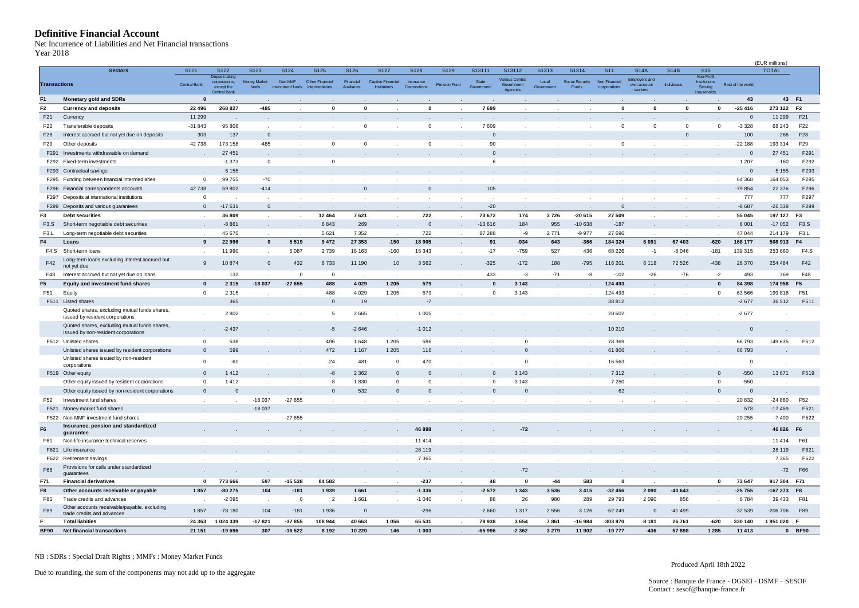#### <span id="page-4-0"></span>**Definitive Financial Account**

| 7ear 2018             | <b>Definitive Financial Account</b><br>Net Incurrence of Liabilities and Net Financial transactions |                     |                                                                      |                              |                             |                                          |                          |                                          |                           |                      |                     |                                                  |                     |                                 |                               |                                                |              |                                                           |                   | (EUR millions)    |                       |
|-----------------------|-----------------------------------------------------------------------------------------------------|---------------------|----------------------------------------------------------------------|------------------------------|-----------------------------|------------------------------------------|--------------------------|------------------------------------------|---------------------------|----------------------|---------------------|--------------------------------------------------|---------------------|---------------------------------|-------------------------------|------------------------------------------------|--------------|-----------------------------------------------------------|-------------------|-------------------|-----------------------|
|                       | <b>Sectors</b>                                                                                      | S121                | S122                                                                 | S123                         | S124                        | S125                                     | S126                     | S127                                     | S128                      | S129                 | S13111              | S13112                                           | S1313               | S1314                           | S <sub>11</sub>               | <b>S14A</b>                                    | <b>S14B</b>  | S <sub>15</sub>                                           |                   | <b>TOTAL</b>      |                       |
| <b>Transactions</b>   |                                                                                                     | <b>Central Bank</b> | Deposit taking<br>corporations,<br>except the<br><b>Central Bank</b> | <b>Money Market</b><br>funds | Non MMF<br>investment funds | Other Financial<br><b>Intermediaries</b> | Financial<br>Auxiliaries | Captive Financial<br><b>Institutions</b> | Insurance<br>Corporations | Pension Fund         | State<br>Government | <b>Various Central</b><br>Government<br>Agencies | Local<br>Government | Social Security<br><b>Funds</b> | Non Financial<br>corporations | <b>Employers and</b><br>own-account<br>workers | Individuals  | Non-Profit<br><b>Institutions</b><br>Serving<br>Household | Rest of the world |                   |                       |
| F <sub>1</sub>        | <b>Monetary gold and SDRs</b>                                                                       | $\mathbf{0}$        |                                                                      |                              |                             |                                          |                          |                                          |                           |                      |                     |                                                  |                     |                                 |                               |                                                |              |                                                           | 43                | 43 F1             |                       |
| F <sub>2</sub>        | <b>Currency and deposits</b>                                                                        | 22 4 9 6            | 268 827                                                              | $-485$                       |                             | $\mathbf 0$                              | $\mathbf{0}$             |                                          | $\mathbf{0}$              |                      | 7699                |                                                  |                     |                                 | $\mathbf{0}$                  | $\mathbf{0}$                                   | $\mathbf{0}$ | $\mathbf 0$                                               | $-25416$          | 273 122 F2        |                       |
| F21                   | Currency                                                                                            | 11 299              |                                                                      |                              |                             |                                          |                          |                                          |                           |                      |                     |                                                  |                     |                                 |                               |                                                |              |                                                           | $\mathbf{0}$      | 11 299            | F21                   |
| F22                   | Transferable deposits                                                                               | $-31843$            | 95 806                                                               |                              |                             | $\cdot$                                  | $\mathbf 0$              |                                          | $\mathbf 0$               | $\sim$               | 7609                |                                                  |                     |                                 | $^{\circ}$                    | $\mathbf{0}$                                   | $\mathbf 0$  | $\mathbf 0$                                               | $-3328$           | 68 243            | F22                   |
| F28                   | Interest accrued but not yet due on deposits                                                        | 303                 | $-137$                                                               | $\mathbf{0}$                 |                             |                                          |                          |                                          |                           |                      | $\mathbf{0}$        |                                                  |                     |                                 |                               |                                                | $\mathbf{0}$ |                                                           | 100               | 266               | F28                   |
| F29                   | Other deposits                                                                                      | 42738               | 173 158                                                              | $-485$                       |                             | $\overline{0}$                           | $\mathbf 0$              |                                          | $\mathsf 0$               | $\mathcal{L}$        | 90                  |                                                  |                     |                                 | $\mathbf{0}$                  |                                                | $\cdot$      | $\cdot$                                                   | $-22188$          | 193 314           | F29                   |
| F291                  | Investments withdrawable on demand                                                                  |                     | 27 451                                                               |                              |                             |                                          |                          |                                          |                           |                      | $\Omega$            |                                                  |                     |                                 |                               |                                                |              |                                                           | $\mathbf 0$       | 27 451            | F291                  |
|                       | F292 Fixed-term investments                                                                         |                     | $-1373$                                                              | $\mathsf 0$                  |                             | $\overline{0}$                           |                          |                                          |                           |                      | 6                   |                                                  |                     |                                 |                               |                                                |              |                                                           | 1 207             | $-160$            | F292                  |
| F293                  | Contractual savings                                                                                 |                     | 5 1 5 5                                                              |                              |                             |                                          |                          |                                          |                           |                      |                     |                                                  |                     |                                 |                               |                                                |              |                                                           | $\mathbf 0$       | 5 1 5 5           | F293                  |
|                       | F295 Funding between financial intermediaries                                                       | $\mathbf 0$         | 99 755                                                               | $-70$                        |                             | $\cdot$                                  | $\mathbf{r}$             |                                          |                           |                      | $\sim$              |                                                  |                     |                                 |                               |                                                |              | $\mathbf{r}$                                              | 64 368            | 164 053           | F295                  |
| F296                  | Financial correspondents accounts                                                                   | 42738               | 59 802                                                               | $-414$                       |                             | $\sim$                                   | $\mathbf{0}$             |                                          | $\mathbf 0$               |                      | 105                 |                                                  |                     |                                 |                               |                                                |              |                                                           | -79 854           | 22 376            | F296                  |
| F297                  | Deposits at international institutions                                                              | $^{\circ}$          |                                                                      |                              |                             |                                          |                          |                                          |                           |                      |                     |                                                  |                     |                                 |                               |                                                |              |                                                           | 777               | 777               | F297                  |
|                       | F299 Deposits and various guarantees                                                                | $\Omega$            | $-17631$                                                             | $\mathbf{0}$                 |                             |                                          |                          | $\sim$                                   |                           | $\sim$               | $-20$               |                                                  |                     |                                 | $\mathbf{0}$                  |                                                |              | $\sim$                                                    | $-8687$           | $-26338$          | F299                  |
| F3                    | <b>Debt securities</b>                                                                              |                     | 36 809                                                               | $\epsilon$                   |                             | 12 4 64                                  | 7621                     | $\cdot$                                  | 722                       | $\cdot$              | 73 672              | 174                                              | 3726                | $-20615$                        | 27 509                        |                                                |              | $\bullet$                                                 | 55 045            | 197 127           | F3                    |
| F3.S                  | Short-term negotiable debt securities                                                               |                     | $-8861$                                                              |                              |                             | 6843                                     | 269                      |                                          | $\mathbf{0}$              |                      | $-13616$            | 184                                              | 955                 | $-10638$                        | $-187$                        |                                                |              |                                                           | 8 0 0 1           | $-17052$          | F3.S                  |
| F <sub>3</sub> .L     | Long-term negotiable debt securities                                                                |                     | 45 670                                                               |                              |                             | 5 6 2 1                                  | 7352                     | $\sim$                                   | 722                       | $\sim$               | 87 288              | -9                                               | 2771                | -9 977                          | 27 696                        |                                                |              |                                                           | 47 044            | 214 179           | F <sub>3</sub> .L     |
| F4                    | Loans                                                                                               | 9                   | 22 996                                                               | $\mathbf{0}$                 | 5519                        | 9472                                     | 27 353                   | $-150$                                   | 18 905                    | $\cdot$              | 91                  | $-934$                                           | 643                 | $-366$                          | 184 324                       | 6 0 9 1                                        | 67 403       | $-620$                                                    | 168 177           | 508 913           | F4                    |
| F4.S                  | Short-term loans                                                                                    | $\sim$              | 11 990                                                               | $\mathcal{L}_{\mathcal{A}}$  | 5 0 8 7                     | 2739                                     | 16 163                   | $-160$                                   | 15 343                    | $\sim$               | $-17$               | $-759$                                           | 527                 | 436                             | 68 226                        | $-1$                                           | $-5046$      | $-181$                                                    | 139 315           | 253 660           | <b>F4.S</b>           |
| F42                   | Long-term loans excluding interest accrued but<br>not yet due                                       | 9                   | 10874                                                                | $\mathsf 0$                  | 432                         | 6733                                     | 11 190                   | 10                                       | 3562                      | $\epsilon$           | $-325$              | $-172$                                           | 188                 | $-795$                          | 116 201                       | 6 1 1 8                                        | 72 5 26      | $-438$                                                    | 28 370            | 254 484           | F42                   |
| F48                   | Interest accrued but not yet due on loans                                                           |                     | 132                                                                  |                              | $\mathbf 0$                 | $\overline{0}$                           |                          |                                          |                           |                      | 433                 | $-3$                                             | $-71$               | -8                              | $-102$                        | $-26$                                          | $-76$        | $-2$                                                      | 493               | 769               | F48                   |
| F5                    | Equity and investment fund shares                                                                   | $\mathbf{0}$        | 2 3 1 5                                                              | $-18037$                     | $-27655$                    | 488                                      | 4029                     | 1 2 0 5                                  | 579                       | $\ddot{\phantom{a}}$ | $\mathbf{0}$        | 3 1 4 3                                          |                     |                                 | 124 493                       |                                                |              | $\mathbf{0}$                                              | 84 398            | 174 958           | F <sub>5</sub>        |
| F51                   | Equity                                                                                              | $\mathbf 0$         | 2 3 1 5                                                              |                              |                             | 488                                      | 4029                     | 1 2 0 5                                  | 579                       |                      | $\mathbf 0$         | 3 1 4 3                                          | $\mathbf{r}$        |                                 | 124 493                       |                                                |              | $^{\circ}$                                                | 63 566            | 199818            | F51                   |
|                       | F511 Listed shares                                                                                  |                     | 365                                                                  |                              |                             | $\mathbf 0$                              | 19                       |                                          | $-7$                      |                      |                     |                                                  |                     |                                 | 38 812                        |                                                |              |                                                           | $-2677$           | 36 512            | F511                  |
|                       | Quoted shares, excluding mutual funds shares,<br>issued by resident corporations                    |                     | 2802                                                                 |                              |                             | 5                                        | 2665                     |                                          | 1 0 0 5                   |                      |                     |                                                  |                     |                                 | 28 602                        |                                                |              |                                                           | $-2677$           |                   |                       |
|                       | Quoted shares, excluding mutual funds shares,<br>issued by non-resident corporations                |                     | $-2437$                                                              |                              |                             | $-5$                                     | $-2646$                  |                                          | $-1012$                   |                      |                     |                                                  |                     |                                 | 10 210                        |                                                |              |                                                           | $\mathbf 0$       |                   |                       |
|                       | F512 Unlisted shares                                                                                | $\overline{0}$      | 538                                                                  |                              |                             | 496                                      | 1648                     | 1 2 0 5                                  | 586                       |                      |                     | $\mathbf 0$                                      |                     |                                 | 78 369                        |                                                |              |                                                           | 66793             | 149 635           | F512                  |
|                       | Unlisted shares issued by resident corporations                                                     | $\Omega$            | 599                                                                  |                              |                             | 472                                      | 1 1 6 7                  | 1 2 0 5                                  | 116                       |                      |                     | $\mathbf 0$                                      |                     |                                 | 61806                         |                                                |              |                                                           | 66793             |                   |                       |
|                       | Unlisted shares issued by non-resident<br>corporations                                              | $\overline{0}$      | $-61$                                                                |                              |                             | 24                                       | 481                      | $\mathbf 0$                              | 470                       |                      |                     | 0                                                |                     |                                 | 16 563                        |                                                |              |                                                           | $\mathbf{0}$      |                   |                       |
|                       | F519 Other equity                                                                                   | $\Omega$            | 1412                                                                 |                              |                             | $\textnormal{-}8$                        | 2 3 6 2                  | $\mathbf{0}$                             | $\Omega$                  |                      | $\Omega$            | 3 1 4 3                                          |                     |                                 | 7312                          |                                                |              | $\mathbf{0}$                                              | $-550$            | 13 671            | F519                  |
|                       | Other equity issued by resident corporations                                                        | $\mathbf 0$         | 1412                                                                 |                              |                             | -8                                       | 1830                     | $\mathbf 0$                              | $\mathbf 0$               |                      | $\Omega$            | 3 1 4 3                                          |                     |                                 | 7 2 5 0                       |                                                |              | $\mathbf 0$                                               | $-550$            |                   |                       |
|                       | Other equity issued by non-resident corporations                                                    | $\mathbf{0}$        | $\mathbf 0$                                                          | $\sim$                       |                             | $\mathbf 0$                              | 532                      | $\mathbf{0}$                             | $\mathbf 0$               |                      | $\mathbf{0}$        | $\mathbf 0$                                      |                     |                                 | 62                            |                                                |              | $\mathbf{0}$                                              | $\mathbf 0$       |                   |                       |
| F52                   | Investment fund shares                                                                              |                     |                                                                      | -18 037                      | $-27655$                    | $\mathbf{r}$                             |                          |                                          |                           |                      |                     |                                                  |                     |                                 |                               |                                                |              |                                                           | 20 832            | $-24860$          | F52                   |
| F521                  | Money market fund shares                                                                            |                     |                                                                      | $-18037$                     |                             | $\sim$                                   | $\cdot$                  |                                          |                           |                      |                     |                                                  |                     |                                 |                               |                                                |              |                                                           | 578               | $-17459$          | F521                  |
|                       | F522 Non-MMF investment fund shares                                                                 |                     |                                                                      |                              | $-27655$                    |                                          |                          |                                          |                           |                      |                     |                                                  |                     |                                 |                               |                                                |              |                                                           | 20 25 5           | $-7400$           | F522                  |
|                       | Insurance, pension and standardized                                                                 |                     |                                                                      |                              |                             |                                          |                          |                                          |                           |                      |                     |                                                  |                     |                                 |                               |                                                |              |                                                           |                   |                   |                       |
| F <sub>6</sub><br>F61 | guarantee<br>Non-life insurance technical reserves                                                  |                     | $\sim$                                                               | $\cdot$                      |                             | $\blacksquare$                           | $\cdot$                  | $\sim$                                   | 46898<br>11 4 14          | $\sim$               |                     | $-72$<br>$\sim$                                  | $\sim$              |                                 |                               | $\cdot$                                        |              |                                                           | $\sim$            | 46 826<br>11 4 14 | F <sub>6</sub><br>F61 |
|                       | F621 Life insurance                                                                                 |                     |                                                                      |                              |                             |                                          |                          |                                          | 28 119                    |                      |                     |                                                  |                     |                                 |                               |                                                |              |                                                           |                   | 28 119            | F621                  |
|                       | F622 Retirement savings                                                                             |                     |                                                                      | $\cdot$                      |                             | $\cdot$                                  | $\cdot$                  |                                          | 7 3 6 5                   | $\sim$               |                     | $\sim$                                           |                     |                                 | $\cdot$                       | $\cdot$                                        |              |                                                           | $\sim$            | 7 3 6 5           | F622                  |
| F66                   | Provisions for calls under standardized<br>quarantees                                               | $\sim$              | $\sim$                                                               | $\sim$                       | $\ddot{\phantom{a}}$        | $\sim$                                   | $\sim$                   | $\sim$                                   | $\sim$                    | $\sim$               | $\sim$              | $-72$                                            | $\sim$              | $\sim$                          | $\cdot$                       | $\sim$                                         | $\sim$       | $\ddot{\phantom{a}}$                                      | $\sim$            | $-72$             | F66                   |
| F71                   | <b>Financial derivatives</b>                                                                        | $\mathbf{0}$        | 773 666                                                              | 597                          | $-15538$                    | 84 582                                   | $\sim$                   | $\mathbf{r}$                             | $-237$                    | $\cdot$              | 48                  | 0                                                | $-44$               | 583                             | $\mathbf 0$                   | $\mathbf{r}$                                   |              | $\mathbf 0$                                               | 73 647            | 917 304 F71       |                       |
| F8                    | Other accounts receivable or payable                                                                | 1857                | $-80275$                                                             | 104                          | $-181$                      | 1939                                     | 1661                     | $\sim$                                   | $-1336$                   | $\cdot$              | $-2572$             | 1 3 4 3                                          | 3536                | 3415                            | $-32456$                      | 2090                                           | -40 643      | $\bullet$                                                 | $-25755$          | -167 273 F8       |                       |
| F81                   | Trade credits and advances                                                                          | $\sim$              | $-2095$                                                              | $\sim$                       | $\mathbf 0$                 | $\overline{2}$                           | 1661                     | $\sim$                                   | $-1040$                   | $\sim$               | 88                  | 26                                               | 980                 | 289                             | 29 7 9 3                      | 2090                                           | 856          | $\ddot{\phantom{a}}$                                      | 6784              | 39 433            | F81                   |
| F89                   | Other accounts receivable/payable, excluding<br>trade credits and advances                          | 1857                | $-78180$                                                             | 104                          | $-181$                      | 1936                                     | $\mathbf{0}$             | $\sim$                                   | $-296$                    | $\sim$               | $-2660$             | 1 3 1 7                                          | 2556                | 3 1 2 6                         | $-62249$                      | $\mathbf{0}$                                   | $-41499$     |                                                           | $-32539$          | $-206706$         | F89                   |
|                       | <b>Total liabities</b>                                                                              | 24 363              | 1 024 339                                                            | $-17821$                     | $-37855$                    | 108 944                                  | 40 663                   | 1 0 5 6                                  | 65 531                    | $\cdot$              | 78 938              | 3654                                             | 7861                | $-16984$                        | 303 870                       | 8 1 8 1                                        | 26 761       | $-620$                                                    | 330 140           | 1951020 F         |                       |
| <b>BF90</b>           | Net financial transactions                                                                          | 21 151              | $-19696$                                                             | 307                          | $-16522$                    | 8 1 9 2                                  | 10 2 20                  | 146                                      | $-1003$                   | $\sim$               | $-65996$            | $-2362$                                          | 3 2 7 9             | 11902                           | $-19777$                      | $-436$                                         | 57898        | 1 2 8 5                                                   | 11 413            |                   | 0 BF90                |

NB : SDRs : Special Draft Rights ; MMFs : Money Market Funds

Due to rounding, the sum of the components may not add up to the aggregate

Produced April 18th 2022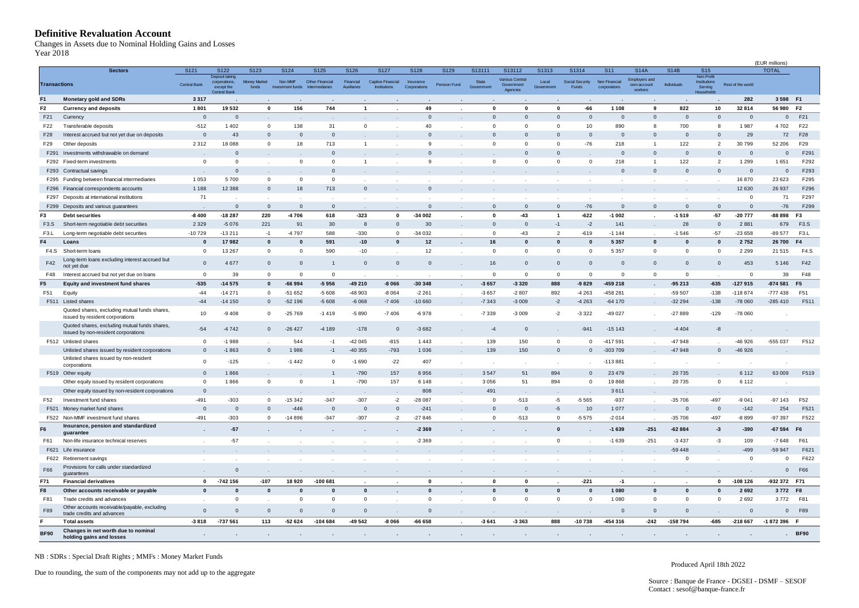#### <span id="page-5-0"></span>**Definitive Revaluation Account**

| Year 2018                 | <b>Definitive Revaluation Account</b><br>Changes in Assets due to Nominal Holding Gains and Losses |                      |                                         |                             |                  |                         |                          |                           |                   |                      |                                |                                         |                              |                          |                                  |                                                    |                            |                                                      |                        |                        |                           |
|---------------------------|----------------------------------------------------------------------------------------------------|----------------------|-----------------------------------------|-----------------------------|------------------|-------------------------|--------------------------|---------------------------|-------------------|----------------------|--------------------------------|-----------------------------------------|------------------------------|--------------------------|----------------------------------|----------------------------------------------------|----------------------------|------------------------------------------------------|------------------------|------------------------|---------------------------|
|                           |                                                                                                    |                      |                                         |                             |                  |                         |                          |                           |                   |                      |                                |                                         |                              |                          |                                  |                                                    |                            |                                                      |                        | (EUR millions)         |                           |
| <b>Transactions</b>       | <b>Sectors</b>                                                                                     | S121<br>Central Bank | S122<br>Deposit taking<br>corporations, | S123<br><b>Money Market</b> | S124<br>Non MMF  | S125<br>Other Financial | S126<br>Financial        | S127<br>Captive Financial | S128<br>Insurance | S129<br>Pension Fund | S13111<br>State                | S13112<br>Various Central<br>Government | S1313<br>Local               | S1314<br>Social Security | S <sub>11</sub><br>Non Financial | <b>S14A</b><br><b>Employers and</b><br>own-account | <b>S14B</b><br>Individuals | S <sub>15</sub><br>Non-Profit<br><b>Institutions</b> | Rest of the world      | <b>TOTAL</b>           |                           |
|                           |                                                                                                    |                      | except the<br>Central Bank              | funds                       | investment funds | htermediaries           | Auxiliaries              | <b>Institutions</b>       | Corporations      |                      | Government                     | Agencies                                | Government                   | Funds                    | corporations                     | workers                                            |                            | Serving<br>Household:                                |                        |                        |                           |
| F <sub>1</sub>            | <b>Monetary gold and SDRs</b>                                                                      | 3317                 |                                         |                             |                  |                         |                          |                           |                   |                      |                                |                                         |                              |                          |                                  |                                                    |                            |                                                      | 282                    | 3 598 F1               |                           |
| F <sub>2</sub><br>F21     | <b>Currency and deposits</b><br>Currency                                                           | 1801<br>$\mathbf{0}$ | 19532<br>$\overline{0}$                 | $\mathbf 0$                 | 156              | 744                     | $\mathbf{1}$             |                           | 49<br>$\mathbf 0$ |                      | $\mathbf 0$<br>$\overline{0}$  | $\mathbf{0}$<br>$\overline{0}$          | $\mathbf{0}$<br>$\mathbf{0}$ | $-66$<br>$\mathbf{0}$    | 1 1 0 8<br>$\mathbf 0$           | 9<br>$\mathbf{0}$                                  | 822<br>$\mathbf{0}$        | 10<br>$\mathbf 0$                                    | 32 814<br>$\mathbf{0}$ | 56 980<br>$\mathbf{0}$ | F <sub>2</sub><br>F21     |
| F22                       | Transferable deposits                                                                              | $-512$               | 1 4 0 2                                 | $^{\circ}$                  | 138              | 31                      | $\mathbf{0}$             |                           | 40                | $\sim$               | $\mathbf{0}$                   | $^{\circ}$                              | $^{\circ}$                   | 10                       | 890                              | 8                                                  | 700                        | 8                                                    | 1987                   | 4702                   | F22                       |
| F28                       | Interest accrued but not yet due on deposits                                                       | $\mathbf 0$          | 43                                      | $\mathbf{0}$                | $\mathbf 0$      | $\mathbf 0$             |                          |                           | $\mathbf{0}$      |                      | $\mathbf{0}$                   | $\overline{0}$                          | $\mathbf{0}$                 | $\mathbf{0}$             | $\mathbf 0$                      | $\mathbf{0}$                                       | $\mathbf{0}$               | $\mathbf 0$                                          | 29                     | 72                     | F28                       |
| F <sub>29</sub>           | Other deposits                                                                                     | 2312                 | 18 0 88                                 | $\mathbf 0$                 | 18               | 713                     | $\mathbf{1}$             |                           | 9                 |                      | $\mathbf{0}$                   | $\mathbf 0$                             | $\mathbf 0$                  | $-76$                    | 218                              | $\mathbf{1}$                                       | 122                        | $\overline{2}$                                       | 30799                  | 52 206                 | F29                       |
| F291                      | Investments withdrawable on demand                                                                 |                      | $\mathbf{0}$                            |                             |                  | $\mathbf 0$             |                          |                           | $\mathbf 0$       |                      |                                | $\overline{0}$                          | $\mathbf{0}$                 |                          | $\mathbf 0$                      | $\Omega$                                           | $\mathbf{0}$               | $\mathbf 0$                                          | $\mathbf{0}$           | $\mathbf 0$            | F291                      |
|                           | F292 Fixed-term investments                                                                        | $\mathbf 0$          | $\mathbf 0$                             |                             | $\mathsf 0$      | $\mathbf{0}$            | $\overline{1}$           |                           | 9                 |                      | $\mathbf{0}$                   | $\mathbf{0}$                            | $\mathbf 0$                  | $\mathbf 0$              | 218                              | $\mathbf{1}$                                       | 122                        | $\overline{2}$                                       | 1 2 9 9                | 1651                   | F292                      |
| F293                      | Contractual savings                                                                                |                      | $\mathbf 0$                             |                             |                  | $\mathbf{0}$            |                          |                           |                   |                      |                                |                                         |                              |                          | $\mathbf 0$                      | $\mathbf{0}$                                       | $\mathbf{0}$               | $\mathbf 0$                                          | $\mathbf{0}$           | $\mathbf{0}$           | F293                      |
| F295                      | Funding between financial intermediaries                                                           | 1 0 5 3              | 5700                                    | 0                           | $\mathbf 0$      | $\mathbf 0$             | $\sim$                   |                           |                   |                      |                                |                                         |                              |                          |                                  |                                                    | $\sim$                     |                                                      | 16870                  | 23 6 23                | F295                      |
| F296                      | nancial correspondents accounts                                                                    | 1 1 8 8              | 12 3 8 8                                | $\mathbf{0}$                | 18               | 713                     | $\mathbf{0}$             |                           | $\mathbf{0}$      |                      |                                |                                         |                              |                          |                                  |                                                    | $\ddot{\phantom{0}}$       | $\mathbf{r}$                                         | 12 630                 | 26 937                 | F296                      |
| F297                      | Deposits at international institutions                                                             | 71                   |                                         |                             |                  |                         |                          |                           |                   |                      |                                |                                         |                              |                          |                                  |                                                    |                            |                                                      | $^{\circ}$             | 71                     | F297                      |
|                           | F299 Deposits and various guarantees                                                               |                      | $\mathbf 0$                             | $\mathbf{0}$                | $\mathbf{0}$     | $\overline{0}$          |                          |                           | $\mathbf{0}$      | $\sim$               | $\mathbf{0}$                   | $\mathbf{0}$                            | $\Omega$                     | $-76$                    | $\mathbf 0$                      | $\mathbf{0}$                                       | $\mathbf{0}$               | $\mathbf{0}$                                         | $\mathbf{0}$           | $-76$                  | F299                      |
| F3                        | <b>Debt securities</b>                                                                             | $-8400$              | $-18287$                                | 220                         | $-4706$          | 618                     | $-323$                   | $\mathbf 0$               | $-34002$          | $\cdot$              | $\mathbf 0$                    | $-43$                                   | $\overline{1}$               | $-622$                   | $-1002$                          |                                                    | $-1519$                    | $-57$                                                | $-20777$               | $-88898$               | F <sub>3</sub>            |
| F3.S<br>F <sub>3</sub> .L | Short-term negotiable debt securities<br>Long-term negotiable debt securities                      | 2 3 2 9<br>$-10729$  | $-5076$<br>$-13211$                     | 221<br>$-1$                 | 91<br>-4797      | 30<br>588               | 8<br>$-330$              | $\mathbb O$<br>$\circ$    | 30<br>$-34032$    |                      | $\overline{0}$<br>$\mathbf{0}$ | $\overline{0}$<br>$-43$                 | $-1$<br>$\overline{2}$       | $-2$<br>$-619$           | 141<br>$-1144$                   |                                                    | 28<br>$-1546$              | $\mathbf 0$<br>$-57$                                 | 2881<br>$-23658$       | 679<br>$-89577$        | F3.S<br>F <sub>3</sub> .L |
| F4                        | Loans                                                                                              |                      | 17982                                   | $\mathbf 0$                 | $\mathbf{0}$     | 591                     | $-10$                    | $\mathbf{0}$              | 12                | $\sim$               | 16                             | $\mathbf 0$                             | $\mathbf{0}$                 | $\bf{0}$                 | 5 3 5 7                          | $\mathbf{0}$                                       | $\mathbf{0}$               | $\mathbf{0}$                                         | 2752                   | 26 700                 | F4                        |
| F4.S                      | Short-term loans                                                                                   | $\overline{0}$       | 13 267                                  | $\mathbf 0$                 | $\mathbf 0$      | 590                     | $-10$                    | $\sim$                    | 12                | $\cdot$<br>$\sim$    | $\mathbf{0}$                   | $\mathbf 0$                             | $\mathbf 0$                  | $^{\circ}$               | 5 3 5 7                          | $\mathbf 0$                                        | $\mathbf{0}$               | $\mathbf 0$                                          | 2 2 9 9                | 21 515                 | F4.S                      |
| F42                       | Long-term loans excluding interest accrued but<br>not yet due                                      | $\mathbf 0$          | 4677                                    | $\mathbf 0$                 | $\mathbb O$      | $\overline{1}$          | $\mathbf{0}$             | $\mathbb O$               | $\mathbf 0$       | $\epsilon$           | 16                             | $\mathbf 0$                             | $\mathbf{0}$                 | $\mathbf{0}$             | $\mathbf 0$                      | $\mathbf{0}$                                       | $\mathbb O$                | $\overline{0}$                                       | 453                    | 5 1 4 6                | F42                       |
| F48                       | Interest accrued but not yet due on loans                                                          | $\mathbf 0$          | 39                                      | $^{\circ}$                  | $\mathbf 0$      | $\mathbf 0$             |                          |                           |                   |                      | $\mathbf{0}$                   | $\overline{0}$                          | $\mathbf 0$                  | $\mathbf 0$              | $\mathbf 0$                      | $^{\circ}$                                         | $\mathbf 0$                |                                                      | $\mathbf 0$            | 39                     | F48                       |
| F <sub>5</sub>            | Equity and investment fund shares                                                                  | $-535$               | $-14575$                                | $\mathbf{0}$                | $-66994$         | $-5956$                 | -49 210                  | $-8066$                   | $-30348$          | $\cdot$              | $-3657$                        | $-3320$                                 | 888                          | $-9829$                  | -459 218                         |                                                    | $-95213$                   | $-635$                                               | $-127915$              | $-874581$              | F <sub>5</sub>            |
| F51                       | Equity                                                                                             | $-44$                | $-14271$                                | $^{\circ}$                  | $-51652$         | $-5608$                 | -48 903                  | $-8064$                   | $-2261$           | $\sim$               | $-3657$                        | $-2807$                                 | 892                          | $-4263$                  | 458 281                          | $\sim$                                             | -59 507                    | $-138$                                               | -118 874               | $-777438$              | F51                       |
|                           | F511 Listed shares                                                                                 | $-44$                | $-14150$                                | $\mathbf 0$                 | $-52196$         | $-5608$                 | $-6068$                  | $-7406$                   | $-10660$          | $\sim$               | $-7343$                        | $-3009$                                 | $-2$                         | $-4263$                  | $-64170$                         | $\ddot{\phantom{1}}$                               | $-32294$                   | $-138$                                               | $-78060$               | $-285410$              | F511                      |
|                           | Quoted shares, excluding mutual funds shares,<br>issued by resident corporations                   | 10                   | $-9408$                                 | $^{\circ}$                  | $-25769$         | $-1419$                 | $-5890$                  | $-7406$                   | $-6978$           |                      | $-7339$                        | $-3009$                                 | $-2$                         | $-3322$                  | $-49027$                         |                                                    | $-27889$                   | $-129$                                               | -78 060                |                        |                           |
|                           | Quoted shares, excluding mutual funds shares,<br>issued by non-resident corporations               | $-54$                | $-4742$                                 | $\mathbf{0}$                | $-26427$         | -4 189                  | $-178$                   | $\mathbb O$               | $-3682$           |                      | $-4$                           | $\overline{0}$                          |                              | $-941$                   | $-15143$                         |                                                    | $-4404$                    | $-8$                                                 |                        |                        |                           |
|                           | F512 Unlisted shares                                                                               | $\mathbf 0$          | $-1988$                                 |                             | 544              | $-1$                    | $-42045$                 | $-815$                    | 1443              |                      | 139                            | 150                                     | $^{\circ}$                   | $^{\circ}$               | -417 591                         |                                                    | $-47948$                   |                                                      | -46 926                | -555 037               | F512                      |
|                           | Unlisted shares issued by resident corporations                                                    | $\mathbf{0}$         | $-1863$                                 | $\mathbf{0}$                | 1986             | $-1$                    | $-40355$                 | $-793$                    | 1 0 3 6           |                      | 139                            | 150                                     | $\Omega$                     | $\mathbf{0}$             | -303 709                         |                                                    | $-47948$                   | $\mathbf 0$                                          | $-46926$               |                        |                           |
|                           | Unlisted shares issued by non-resident<br>corporations                                             | $\mathbf 0$          | $-125$                                  |                             | $-1442$          | 0                       | $-1690$                  | $-22$                     | 407               |                      |                                |                                         |                              |                          | $-113881$                        |                                                    |                            |                                                      | $\sim$                 |                        |                           |
|                           | F519 Other equity                                                                                  | $\mathbf{0}$         | 1866                                    |                             |                  | $\overline{1}$          | $-790$                   | 157                       | 6956              |                      | 3547                           | 51                                      | 894                          | $\mathbf{0}$             | 23 4 79                          |                                                    | 20735                      |                                                      | 6 1 1 2                | 63 009                 | F519                      |
|                           | Other equity issued by resident corporations                                                       | $\mathbf 0$          | 1866                                    | $\mathbf 0$                 | $\mathbf 0$      | $\mathbf{1}$            | $-790$                   | 157                       | 6 1 4 8           | $\sim$               | 3 0 5 6                        | 51                                      | 894                          | $\mathbf 0$              | 19868                            |                                                    | 20735                      | $\mathbf 0$                                          | 6 1 1 2                |                        |                           |
|                           | Other equity issued by non-resident corporations                                                   | $\mathbf{0}$         |                                         |                             |                  | $\sim$                  |                          | $\sim$                    | 808               | $\sim$               | 491                            |                                         |                              |                          | 3611                             | $\ddot{\phantom{a}}$                               |                            | $\cdot$                                              |                        |                        |                           |
| F52                       | Investment fund shares                                                                             | $-491$               | $-303$                                  | $\mathbf{0}$                | $-15342$         | $-347$                  | $-307$                   | $-2$                      | $-28087$          | $\cdot$              | $\mathbf{0}$                   | $-513$                                  | -5                           | $-5565$                  | $-937$                           | $\sim$                                             | $-35706$                   | $-497$                                               | $-9041$                | $-97143$               | F52                       |
| F521                      | Money market fund shares                                                                           | $\Omega$             | $\mathbf 0$                             | $\mathbf{0}$                | $-446$           | $\mathbf 0$             | $\mathbf{0}$             | $\mathbf 0$               | $-241$            | $\sim$               | $\overline{0}$                 | $\overline{0}$                          | $-5$                         | 10                       | 1 0 7 7                          | $\ddot{\phantom{a}}$                               | $\overline{0}$             | $\mathbf 0$                                          | $-142$                 | 254                    | F521                      |
|                           | F522 Non-MMF investment fund shares                                                                | $-491$               | $-303$                                  | $\Omega$                    | $-14896$         | $-347$                  | $-307$                   | $-2$                      | $-27846$          | $\cdot$              | $\Omega$                       | $-513$                                  | $\Omega$                     | $-5575$                  | $-2014$                          |                                                    | $-35706$                   | $-497$                                               | $-8899$                | -97 397                | F522                      |
| F <sub>6</sub>            | Insurance, pension and standardized<br>guarantee                                                   |                      | $-57$                                   |                             |                  |                         |                          |                           | $-2369$           |                      |                                |                                         |                              |                          | $-1639$                          | $-251$                                             | $-62884$                   | $-3$                                                 | $-390$                 | $-67594$               | F <sub>6</sub>            |
| F61                       | Non-life insurance technical reserves                                                              |                      | $-57$                                   | $\sim$                      |                  | $\cdot$                 | $\overline{\phantom{a}}$ | $\sim$                    | $-2369$           | $\sim$               |                                | $\sim$                                  | $\mathbf 0$                  |                          | $-1639$                          | $-251$                                             | $-3437$                    | $-3$                                                 | 109                    | $-7648$                | F61                       |
|                           | F621 Life insurance                                                                                |                      |                                         |                             |                  |                         |                          |                           |                   |                      |                                |                                         |                              |                          |                                  |                                                    | $-59448$                   |                                                      | $-499$                 | -59 947                | F621                      |
|                           | F622 Retirement savings                                                                            |                      | $\cdot$                                 | $\cdot$                     |                  | $\cdot$                 | $\cdot$                  | $\sim$                    | $\sim$            | $\sim$               |                                | $\cdot$                                 | $\cdot$                      |                          | $\blacksquare$                   | $\cdot$                                            | $\mathbf 0$                | $\cdot$                                              | $\mathbf 0$            | $^{\circ}$             | F622                      |
| F66                       | Provisions for calls under standardized<br>guarantees                                              |                      | $\mathbf{0}$                            | $\sim$                      | $\blacksquare$   | $\sim$                  | $\sim$                   | $\sim$                    | $\sim$            | $\sim$               | $\sim$                         | $\sim$                                  | $\sim$                       | $\sim$                   | $\sim$                           | $\sim$                                             | $\sim$                     | $\sim$                                               | $\sim$                 | $\overline{0}$         | F66                       |
| F71                       | <b>Financial derivatives</b>                                                                       | $\mathbf 0$          | $-742156$                               | $-107$                      | 18920            | $-100681$               | $\sim$                   | $\overline{\phantom{a}}$  | 0                 | $\sim$               | $\mathbf 0$                    | $\mathbf 0$                             | $\ddot{\phantom{a}}$         | $-221$                   | $-1$                             | $\sim$                                             | $\mathbf{r}$               | $\mathbf 0$                                          | $-108126$              | -932 372 F71           |                           |
| F8                        | Other accounts receivable or payable                                                               | $\mathbf{0}$         | $\bf{0}$                                | $\mathbf{0}$                | $\mathbf 0$      | $\mathbf{0}$            | $\mathbf{0}$             | $\cdot$                   | $\mathbf{0}$      | $\sim$               | $\mathbf{0}$                   | $\mathbf{0}$                            | $\mathbf{0}$                 | $\mathbf{0}$             | 1 0 8 0                          | $\mathbf{0}$                                       | $\mathbf{0}$               | $\mathbf{0}$                                         | 2692                   | 3772 F8                |                           |
| F81                       | Trade credits and advances                                                                         |                      | 0                                       | $\mathbf{r}$                | $\circ$          | $\mathbf{0}$            | $\mathbf 0$              | $\sim$                    | $\mathbf 0$       | $\sim$               | $\mathbf{0}$                   | $\mathbf 0$                             | $\mathbf 0$                  | $\mathbf 0$              | 1 0 8 0                          | $\mathbf 0$                                        | $\mathbf 0$                | $\mathbf{0}$                                         | 2692                   | 3772                   | F81                       |
| F89                       | Other accounts receivable/payable, excluding<br>trade credits and advances                         | $\mathbf{0}$         | $\mathbf{0}$                            | $\mathbf{0}$                | $\mathbf{0}$     | $\mathbf{0}$            | $\mathbf{0}$             | $\sim$                    | $\mathbf{0}$      | $\sim$               |                                | $\sim$                                  | $\sim$                       | $\sim$                   | $\mathbf{0}$                     | $\mathbf{0}$                                       | $\mathbf{0}$               |                                                      | $\mathbf{0}$           |                        | 0 F89                     |
| F.                        | <b>Total assets</b>                                                                                | $-3818$              | -737 561                                | 113                         | $-52624$         | $-104684$               | -49 542                  | $-8066$                   | $-66658$          | $\cdot$              | $-3641$                        | $-3363$                                 | 888                          | $-10738$                 | -454 316                         | $-242$                                             | -158 794                   | $-685$                                               | $-218667$              | -1872396 F             |                           |
| <b>BF90</b>               | Changes in net worth due to nominal<br>holding gains and losses                                    | $\bullet$            | $\cdot$                                 | $\bullet$                   |                  | $\cdot$                 | $\sim$                   | $\sim$                    | $\sim$            | $\sim$               | $\sim$                         | $\sim$                                  | $\sim$                       | $\sim$                   | $\sim$                           | $\sim$                                             | $\sim$                     | $\sim$                                               |                        |                        | . BF90                    |

NB : SDRs : Special Draft Rights ; MMFs : Money Market Funds

Due to rounding, the sum of the components may not add up to the aggregate

Produced April 18th 2022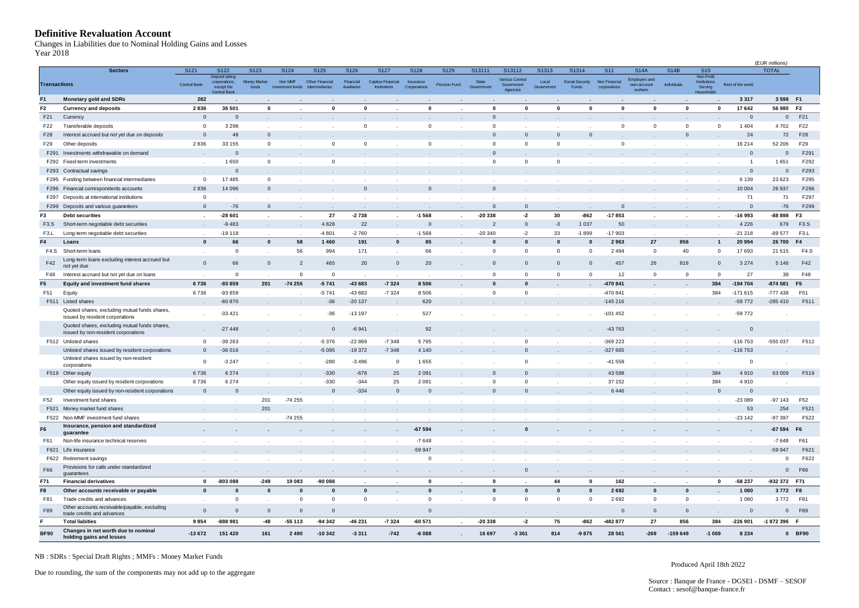#### <span id="page-6-0"></span>**Definitive Revaluation Account**

|                     | <b>Definitive Revaluation Account</b><br>Changes in Liabilities due to Nominal Holding Gains and Losses |              |                             |                              |                  |                                  |                          |                                          |                           |              |                     |                        |                     |                              |                               |                        |                      |                                |                   |                |                   |
|---------------------|---------------------------------------------------------------------------------------------------------|--------------|-----------------------------|------------------------------|------------------|----------------------------------|--------------------------|------------------------------------------|---------------------------|--------------|---------------------|------------------------|---------------------|------------------------------|-------------------------------|------------------------|----------------------|--------------------------------|-------------------|----------------|-------------------|
| Year 2018           |                                                                                                         |              |                             |                              |                  |                                  |                          |                                          |                           |              |                     |                        |                     |                              |                               |                        |                      |                                |                   | (EUR millions) |                   |
|                     | <b>Sectors</b>                                                                                          | S121         | S122                        | S123                         | S124             | S125                             | S126                     | S127                                     | S128                      | S129         | S13111              | S13112                 | S1313               | S1314                        | S <sub>11</sub>               | <b>S14A</b>            | <b>S14B</b>          | S <sub>15</sub>                |                   | <b>TOTAL</b>   |                   |
|                     |                                                                                                         |              | Deposit taking              |                              | Non MMF          |                                  |                          |                                          |                           |              |                     | Various Central        |                     |                              |                               | <b>Employers and</b>   |                      | Non-Profit                     |                   |                |                   |
| <b>Transactions</b> |                                                                                                         | Central Bank | corporations,<br>except the | <b>Money Market</b><br>funds | investment funds | Other Financial<br>htermediaries | Financial<br>Auxiliaries | Captive Financial<br><b>Institutions</b> | Insurance<br>Corporations | Pension Fund | State<br>Government | Government<br>Agencies | Local<br>Government | Social Security<br>Funds     | Non Financial<br>corporations | own-account<br>workers | Individuals          | <b>Institutions</b><br>Serving | Rest of the world |                |                   |
|                     |                                                                                                         |              | Central Bank                |                              |                  |                                  |                          |                                          |                           |              |                     |                        |                     |                              |                               |                        |                      | Household:                     |                   |                |                   |
| F <sub>1</sub>      | Monetary gold and SDRs                                                                                  | 282          |                             |                              |                  |                                  |                          |                                          |                           |              |                     |                        |                     |                              |                               |                        |                      |                                | 3317              | 3 598 F1       |                   |
| F <sub>2</sub>      | <b>Currency and deposits</b>                                                                            | 2836         | 36 501                      | $\mathbf 0$                  |                  | $\Omega$                         | $\mathbf{0}$             |                                          | $\mathbf 0$               |              | $\mathbf 0$         | $\mathbf{0}$           |                     | $\mathbf{0}$<br>$\mathbf{0}$ | $\mathbf{0}$                  | $\mathbf{0}$           | $\mathbf 0$          | $\Omega$                       | 17642             | 56 980         | F <sub>2</sub>    |
| F21                 | Currency                                                                                                | $\mathbf{0}$ | $\mathbf 0$                 |                              |                  |                                  |                          |                                          |                           |              | $\mathbf{0}$        |                        |                     |                              |                               |                        |                      |                                | $\mathbf{0}$      | $\mathbf{0}$   | F21               |
| F22                 | Transferable deposits                                                                                   | $\mathbf 0$  | 3 2 9 8                     | $\mathbf{r}$                 |                  | $\cdot$                          | $^{\circ}$               |                                          | $^{\circ}$                | $\sim$       | $\mathbf{0}$        |                        |                     |                              | 0                             | $^{\circ}$             | $\mathsf 0$          | $\circ$                        | 1 4 0 4           | 4702           | F <sub>22</sub>   |
| F28                 | Interest accrued but not yet due on deposits                                                            | $\mathbf{0}$ | 48                          | $\mathbf{0}$                 |                  |                                  |                          |                                          |                           |              | $\mathbf{0}$        | $\mathbf 0$            |                     | $\mathbf{0}$<br>$\mathbf{0}$ |                               |                        | $\mathbf{0}$         |                                | 24                | 72             | F28               |
| F <sub>29</sub>     | Other deposits                                                                                          | 2836         | 33 155                      | $\mathbf{0}$                 |                  | $\mathbf{0}$                     | $\mathbf 0$              |                                          | $\mathsf 0$               |              | $\mathbf{0}$        | $\mathbf 0$            |                     | $\mathbf 0$                  | $\mathbf 0$                   |                        | $\cdot$              | $\cdot$                        | 16 214            | 52 206         | F29               |
| F291                | Investments withdrawable on demand                                                                      |              | $\overline{0}$              |                              |                  |                                  |                          |                                          |                           |              | $\overline{0}$      |                        |                     |                              |                               |                        |                      |                                | $\mathsf 0$       | $\mathbf 0$    | F291              |
|                     | F292 Fixed-term investments                                                                             |              | 1650                        | $\mathbf{0}$                 |                  | $\mathbf{0}$                     |                          |                                          |                           |              | $\mathbf{0}$        | $\mathbf 0$            |                     | $\mathbf 0$                  |                               |                        |                      |                                | $\overline{1}$    | 1651           | F292              |
| F293                | Contractual savings                                                                                     |              | $\mathbf 0$                 |                              |                  |                                  |                          |                                          |                           |              |                     |                        |                     |                              |                               |                        |                      |                                | $\mathbf{0}$      | $\mathbf 0$    | F293              |
| F295                | Funding between financial intermediaries                                                                | $\mathbf 0$  | 17485                       | $\mathbf{0}$                 |                  | $\cdot$                          | $\sim$                   |                                          |                           |              |                     |                        |                     |                              |                               |                        | $\cdot$              | $\mathbf{r}$                   | 6 1 3 9           | 23 6 23        | F295              |
| F296                | nancial correspondents accounts                                                                         | 2836         | 14 096                      | $\mathbf{0}$                 |                  | $\cdot$                          | $\mathbf{0}$             |                                          | $\mathbf 0$               |              | $\mathbf{0}$        |                        |                     |                              |                               |                        | $\ddot{\phantom{a}}$ |                                | 10 004            | 26 937         | F296              |
| F297                | Deposits at international institutions                                                                  | $\mathbf 0$  |                             |                              |                  | $\epsilon$                       |                          |                                          |                           |              |                     |                        |                     |                              |                               |                        | $\mathbf{r}$         |                                | 71                | 71             | F297              |
|                     | F299 Deposits and various guarantees                                                                    | $\mathbf{0}$ | $-76$                       | $\mathbf{0}$                 |                  | $\sim$                           |                          | $\sim$                                   |                           | $\sim$       | $\mathbf{0}$        | $\mathbf 0$            |                     |                              | $\mathbf 0$                   |                        | $\sim$               | $\sim$                         | $\mathbf{0}$      | $-76$          | F299              |
| F3                  | <b>Debt securities</b>                                                                                  |              | $-28601$                    | $\sim$                       | $\cdot$          | 27                               | $-2738$                  | $\cdot$                                  | $-1568$                   | $\epsilon$   | $-20338$            | $-2$                   | 30                  | $-862$                       | $-17853$                      |                        | $\sim$               | $\epsilon$                     | $-16993$          | $-88898$       | F <sub>3</sub>    |
| F <sub>3.</sub> S   | Short-term negotiable debt securities                                                                   |              | $-9483$                     |                              |                  | 4828                             | 22                       |                                          | $\mathbf{0}$              |              | $\overline{2}$      | $\mathbf 0$            |                     | 1037<br>$-3$                 | 50                            |                        | $\cdot$              |                                | 4 2 2 6           | 679            | F3.S              |
| F <sub>3</sub> .L   | Long-term negotiable debt securities                                                                    |              | $-19118$                    | $\mathbf{r}$                 |                  | -4 801                           | $-2760$                  |                                          | $-1568$                   | $\mathbf{r}$ | $-20340$            | $-2$                   | 33                  | $-1899$                      | $-17903$                      |                        |                      |                                | $-21218$          | $-89577$       | F <sub>3</sub> .L |
| F4                  | Loans                                                                                                   | $\mathbf{0}$ | 66                          | $\pmb{0}$                    | 58               | 1460                             | 191                      | $\pmb{0}$                                | 85                        | $\cdot$      | $\mathbf{0}$        | $\mathbf{0}$           |                     | $\mathbf{0}$<br>0            | 2963                          | 27                     | 856                  | $\mathbf{1}$                   | 20 994            | 26 700         | F4                |
| F4.S                | Short-term loans                                                                                        |              | 0                           | $\sim$                       | 56               | 994                              | 171                      | $\sim$                                   | 66                        | $\sim$       | $\mathbf{0}$        | $\mathbf 0$            |                     | $\mathbf 0$<br>$\mathbf 0$   | 2 4 9 4                       | $\mathbf{0}$           | 40                   | $\mathbf 0$                    | 17 693            | 21 515         | F4.S              |
| F42                 | Long-term loans excluding interest accrued but<br>not yet due                                           | $\mathbf 0$  | 66                          | $\overline{0}$               | $\overline{2}$   | 465                              | 20                       | $\mathbf 0$                              | 20                        | $\cdot$      | $\mathbf{0}$        | $\overline{0}$         |                     | $\mathbf{0}$<br>$\mathbf{0}$ | 457                           | 26                     | 816                  | $\mathbf 0$                    | 3 2 7 4           | 5 1 4 6        | F42               |
| F48                 | Interest accrued but not yet due on loans                                                               |              | $^{\circ}$                  |                              | $\mathbf 0$      | $\mathbf 0$                      |                          |                                          |                           |              | $\mathbf{0}$        | $\mathbf 0$            |                     | $\mathbf 0$<br>$\mathbf 0$   | 12                            | $\mathbf 0$            | $\mathbf 0$          | $\mathbf 0$                    | 27                | 39             | F48               |
| F <sub>5</sub>      | <b>Equity and investment fund shares</b>                                                                | 6736         | -93 859                     | 201                          | $-74255$         | $-5741$                          | -43 683                  | $-7324$                                  | 8506                      | $\cdot$      | $\mathbf{0}$        | $\mathbf{0}$           |                     |                              | -470 841                      |                        |                      | 384                            | -194 704          | $-874581$      | F <sub>5</sub>    |
| F51                 | Equity                                                                                                  | 6736         | -93 859                     |                              |                  | -5741                            | -43 683                  | $-7324$                                  | 8506                      |              | $^{\circ}$          | $^{\circ}$             |                     | $\mathbf{r}$<br>$\mathbf{r}$ | -470 841                      |                        | $\mathbf{r}$         | 384                            | -171 615          | $-777438$      | F51               |
|                     | F511 Listed shares                                                                                      |              | $-60870$                    |                              |                  | $-36$                            | $-20137$                 |                                          | 620                       |              |                     |                        |                     |                              | $-145216$                     |                        |                      |                                | -59 772           | $-285410$      | F511              |
|                     | Quoted shares, excluding mutual funds shares,                                                           |              | $-33421$                    |                              |                  | $-36$                            | $-13197$                 |                                          | 527                       |              |                     |                        |                     |                              | $-101452$                     |                        |                      |                                | -59 772           |                |                   |
|                     | issued by resident corporations                                                                         |              |                             |                              |                  |                                  |                          |                                          |                           |              |                     |                        |                     |                              |                               |                        |                      |                                |                   |                |                   |
|                     | Quoted shares, excluding mutual funds shares,<br>issued by non-resident corporations                    |              | $-27448$                    |                              |                  | $\mathbf 0$                      | $-6941$                  |                                          | 92                        |              |                     |                        |                     |                              | -43 763                       |                        |                      |                                | $\mathbf{0}$      |                |                   |
|                     | F512 Unlisted shares                                                                                    | $\mathbf 0$  | $-39263$                    |                              |                  | $-5376$                          | $-22869$                 | $-7348$                                  | 5795                      |              |                     | $\mathbf 0$            |                     |                              | -369 223                      |                        |                      |                                | $-116753$         | -555 037       | F512              |
|                     | Unlisted shares issued by resident corporations                                                         | $\mathbf{0}$ | $-36016$                    |                              |                  | $-5095$                          | $-19372$                 | $-7348$                                  | 4 1 4 0                   |              |                     | $\mathbf 0$            |                     |                              | $-327665$                     |                        |                      |                                | $-116753$         |                |                   |
|                     | Unlisted shares issued by non-resident                                                                  | 0            | $-3247$                     |                              |                  | $-280$                           | $-3496$                  | $\mathbf{0}$                             | 1655                      |              |                     | $\mathbf 0$            |                     |                              | $-41558$                      |                        |                      |                                | $\mathbf{0}$      |                |                   |
|                     | corporations                                                                                            |              |                             |                              |                  |                                  |                          |                                          |                           |              |                     |                        |                     |                              |                               |                        |                      |                                |                   |                |                   |
|                     | F519 Other equity                                                                                       | 6736         | 6 2 7 4                     |                              |                  | $-330$                           | $-678$                   | 25                                       | 2 0 9 1                   |              | $\Omega$            | $\Omega$               |                     |                              | 43 598                        |                        |                      | 384                            | 4910              | 63 009         | F519              |
|                     | Other equity issued by resident corporations                                                            | 6736         | 6 2 7 4                     |                              |                  | $-330$                           | $-344$                   | 25                                       | 2 0 9 1                   |              | $\mathbf{0}$        | $\overline{0}$         |                     |                              | 37 152                        |                        |                      | 384<br>$\mathbf 0$             | 4910              |                |                   |
|                     | Other equity issued by non-resident corporations                                                        | $\mathbf 0$  | $\mathbf 0$                 | $\sim$                       |                  | $\mathbf 0$                      | $-334$                   | $\mathbb O$                              | $\mathbf 0$               | $\sim$       | $\mathbf{0}$        | $\mathbf 0$            |                     |                              | 6446                          |                        |                      |                                | $\mathsf{O}$      |                |                   |
| F52                 | Investment fund shares                                                                                  |              |                             | 201                          | $-74255$         | $\cdot$                          |                          | $\sim$                                   |                           |              |                     |                        |                     |                              |                               |                        |                      | $\cdot$                        | $-23089$          | $-97143$       | F52               |
| F521                | Money market fund shares                                                                                |              | $\sim$                      | 201                          |                  | $\sim$                           | $\ddot{\phantom{1}}$     |                                          |                           |              |                     |                        |                     |                              |                               |                        | $\ddot{\phantom{a}}$ | $\sim$                         | 53                | 254            | F521              |
|                     | F522 Non-MMF investment fund shares                                                                     |              |                             |                              | $-74255$         | $\cdot$                          |                          |                                          |                           |              |                     |                        |                     |                              |                               |                        |                      |                                | $-23142$          | -97 397        | F522              |
| F <sub>6</sub>      | Insurance, pension and standardized<br>guarantee                                                        |              |                             |                              |                  |                                  |                          |                                          | $-67594$                  |              |                     | $\bf{0}$               |                     |                              |                               |                        |                      |                                |                   | $-67594$       | F <sub>6</sub>    |
| F61                 | Non-life insurance technical reserves                                                                   |              | $\sim$                      | $\sim$                       |                  | $\cdot$                          | $\cdot$                  | $\sim$                                   | $-7648$                   | $\sim$       |                     | $\sim$                 |                     | $\sim$                       | $\cdot$                       | $\cdot$                |                      | $\cdot$                        | $\sim$            | $-7648$        | F61               |
|                     | F621 Life insurance                                                                                     |              |                             |                              |                  |                                  |                          |                                          | -59 947                   |              |                     |                        |                     |                              |                               |                        |                      |                                |                   | -59 947        | F621              |
|                     | F622 Retirement savings                                                                                 |              | $\cdot$                     | $\cdot$                      |                  | $\cdot$                          | $\sim$                   | $\sim$                                   | $\overline{0}$            | $\sim$       |                     | $\cdot$                |                     | $\cdot$                      | $\cdot$                       | $\cdot$                | $\cdot$              | $\cdot$                        | $\cdot$           | $^{\circ}$     | F622              |
| F66                 | Provisions for calls under standardized                                                                 |              |                             |                              |                  |                                  |                          |                                          |                           |              |                     | $\mathbf 0$            |                     |                              |                               |                        |                      |                                |                   |                | F66               |
|                     | guarantees                                                                                              | $\sim$       | $\sim$                      | $\sim$                       | $\sim$           | $\sim$                           | $\sim$                   | $\sim$                                   | $\sim$                    | $\sim$       | $\sim$              |                        |                     | $\sim$<br>$\sim$             | $\sim$                        | $\sim$                 | $\sim$               | $\sim$                         | $\sim$            | $\mathbf{0}$   |                   |
| F71                 | <b>Financial derivatives</b>                                                                            | 0            | -803 088                    | $-249$                       | 19 083           | $-90088$                         | $\sim$                   | $\cdot$                                  | $\mathbf 0$               | $\cdot$      | $\mathbf 0$         | $\sim$                 | 44                  | $\mathbf{0}$                 | 162                           | $\sim$                 | $\mathbf{r}$         | 0                              | -58 237           | -932 372 F71   |                   |
| F8                  | Other accounts receivable or payable                                                                    | $\mathbf{0}$ | $\mathbf{0}$                | $\mathbf{0}$                 | $\mathbf{0}$     | $\mathbf{0}$                     | $\mathbf{0}$             | $\bullet$                                | $\mathbf{0}$              | $\sim$       | $\mathbf{0}$        | $\mathbf 0$            |                     | $\mathbf{0}$<br>$\mathbf{0}$ | 2692                          | $\mathbf{0}$           | $\mathbf{0}$         | $\blacksquare$                 | 1 0 8 0           | 3772 F8        |                   |
| F81                 | Trade credits and advances                                                                              |              | $\mathbf{0}$                | $\sim$                       | $\mathbf 0$      | $\overline{0}$                   | $\mathbf 0$              | $\sim$                                   | $\mathbf{0}$              | $\sim$       | $\mathbf{0}$        | $\mathbf{0}$           |                     | $\mathbf 0$<br>$\mathbf 0$   | 2692                          | $\mathbf 0$            | $\mathsf 0$          | $\cdot$                        | 1 0 8 0           | 3772           | F81               |
| F89                 | Other accounts receivable/payable, excluding<br>trade credits and advances                              | $\mathbf{0}$ | $\mathbf{0}$                | $\mathbf{0}$                 | $\mathbf{0}$     | $\mathbf 0$                      | $\sim$                   | $\sim$                                   | $\mathbf{0}$              | $\sim$       | $\sim$              | $\sim$                 |                     | $\sim$<br>$\sim$             | $\mathbf{0}$                  | $\mathbf{0}$           | $\mathbf 0$          | $\cdot$                        | $\mathbf{0}$      |                | 0 F89             |
| F                   | <b>Total liabities</b>                                                                                  | 9854         | -888 981                    | $-48$                        | $-55113$         | -94 342                          | -46 231                  | $-7324$                                  | $-60571$                  | $\sim$       | $-20338$            | $-2$                   | 75                  | $-862$                       | -482 877                      | 27                     | 856                  | 384                            | $-226901$         | -1872396 F     |                   |
|                     | Changes in net worth due to nominal                                                                     |              |                             |                              |                  |                                  |                          |                                          |                           |              |                     |                        |                     |                              |                               |                        |                      |                                |                   |                |                   |
| <b>BF90</b>         | holding gains and losses                                                                                | $-13672$     | 151 420                     | 161                          | 2 4 9 0          | $-10342$                         | $-3311$                  | $-742$                                   | $-6088$                   |              | 16 697              | $-3361$                | 814                 | $-9875$                      | 28 5 61                       | $-269$                 | $-159649$            | $-1069$                        | 8 2 3 4           |                | 0 BF90            |

NB : SDRs : Special Draft Rights ; MMFs : Money Market Funds

Due to rounding, the sum of the components may not add up to the aggregate

Produced April 18th 2022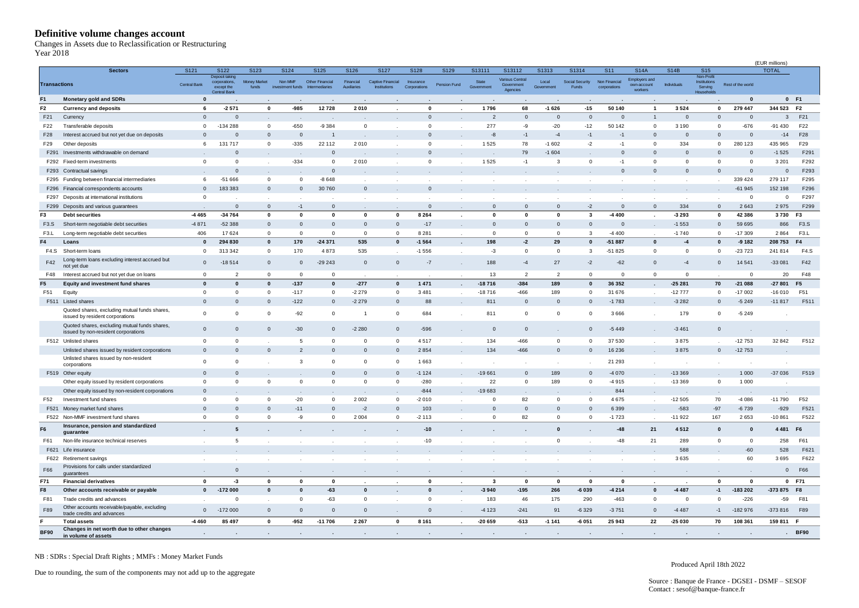#### <span id="page-7-0"></span>**Definitive volume changes account**

| Year 2018           | Definitive volume changes account<br>Changes in Assets due to Reclassification or Restructuring |                      |                                                       |                                      |                                     |                                          |                                  |                                                  |                                   |                      |                               |                                         |                              |                                   |                                                  |                                                    |                            |                                                            |                   |                |                   |
|---------------------|-------------------------------------------------------------------------------------------------|----------------------|-------------------------------------------------------|--------------------------------------|-------------------------------------|------------------------------------------|----------------------------------|--------------------------------------------------|-----------------------------------|----------------------|-------------------------------|-----------------------------------------|------------------------------|-----------------------------------|--------------------------------------------------|----------------------------------------------------|----------------------------|------------------------------------------------------------|-------------------|----------------|-------------------|
|                     |                                                                                                 |                      |                                                       |                                      |                                     |                                          |                                  |                                                  |                                   |                      |                               |                                         |                              |                                   |                                                  |                                                    |                            |                                                            |                   | (EUR millions) |                   |
| <b>Transactions</b> | <b>Sectors</b>                                                                                  | S121<br>Central Bank | S122<br>Deposit taking<br>corporations,<br>except the | S123<br><b>Money Market</b><br>funds | S124<br>Non MMF<br>investment funds | S125<br>Other Financial<br>htermediaries | S126<br>Financial<br>Auxiliaries | S127<br>Captive Financial<br><b>Institutions</b> | S128<br>Insurance<br>Corporations | S129<br>Pension Fund | S13111<br>State<br>Government | S13112<br>Various Central<br>Government | S1313<br>Local<br>Government | S1314<br>Social Security<br>Funds | S <sub>11</sub><br>Non Financial<br>corporations | <b>S14A</b><br><b>Employers and</b><br>own-account | <b>S14B</b><br>Individuals | <b>S15</b><br>Non-Profit<br><b>Institutions</b><br>Serving | Rest of the world | <b>TOTAL</b>   |                   |
| F <sub>1</sub>      |                                                                                                 | $\bf{0}$             | <b>Central Bank</b>                                   |                                      |                                     |                                          |                                  |                                                  |                                   |                      |                               | Agencies                                |                              |                                   |                                                  | workers                                            |                            | Households                                                 | $\mathbf{0}$      |                | $0$ F1            |
| F <sub>2</sub>      | <b>Monetary gold and SDRs</b><br><b>Currency and deposits</b>                                   | 6                    | $-2571$                                               | $\mathbf{0}$                         | $-985$                              | 12728                                    | 2010                             |                                                  | 0                                 |                      | 1796                          | 68                                      | $-1626$                      | $-15$                             | 50 140                                           | $\mathbf{1}$                                       | 3524                       | $\mathbf 0$                                                | 279 447           | 344 523 F2     |                   |
| F21                 | Currency                                                                                        | $\mathbf{0}$         | $\mathbf 0$                                           |                                      |                                     |                                          |                                  |                                                  | $\mathbf 0$                       |                      | $\overline{2}$                | $\overline{0}$                          | $\mathbf 0$                  | $\mathbf{0}$                      | $\mathbf 0$                                      | $\mathbf{1}$                                       | $\mathbf{0}$               | $\mathbf{0}$                                               | $\mathbf{0}$      | 3              | F21               |
| F22                 | Transferable deposits                                                                           | 0                    | $-134288$                                             | $\mathbf 0$                          | $-650$                              | $-9384$                                  | $\mathbf 0$                      |                                                  | $\mathbf 0$                       | $\sim$               | 277                           | -9                                      | $-20$                        | $-12$                             | 50 142                                           | $\mathbf 0$                                        | 3 1 9 0                    | $\mathbf 0$                                                | $-676$            | $-91430$       | F22               |
| F28                 | Interest accrued but not yet due on deposits                                                    | $\mathbf 0$          | $\mathbf 0$                                           | $\mathbf 0$                          | $\mathbf{0}$                        |                                          |                                  |                                                  | $\mathbf 0$                       |                      | $-8$                          | $-1$                                    | $-4$                         | $-1$                              | $-1$                                             | $\mathbf 0$                                        | $\mathbf{0}$               | $\mathbf 0$                                                | $\mathbf 0$       | $-14$          | F28               |
| F29                 | Other deposits                                                                                  | 6                    | 131 717                                               | $\mathbf 0$                          | $-335$                              | 22 112                                   | 2010                             |                                                  | $\mathsf 0$                       | $\mathcal{L}$        | 1525                          | 78                                      | $-1602$                      | $-2$                              | $-1$                                             | $\mathbf{0}$                                       | 334                        | $\mathbf 0$                                                | 280 123           | 435 965        | F29               |
| F291                | Investments withdrawable on demand                                                              |                      | $\mathbf 0$                                           |                                      |                                     | $\mathbf 0$                              |                                  |                                                  | $\mathbf 0$                       |                      |                               | 79                                      | $-1604$                      |                                   | $\mathbf 0$                                      | $\mathbf{0}$                                       | $\Omega$                   | $\Omega$                                                   | $\mathbf 0$       | $-1525$        | F291              |
|                     | F292 Fixed-term investments                                                                     | $\mathbf 0$          | $\mathbf 0$                                           | $\sim$                               | $-334$                              | $\overline{0}$                           | 2010                             | $\sim$                                           | $\mathbf 0$                       | $\sim$               | 1525                          | $-1$                                    | 3                            | $\mathbf 0$                       | $-1$                                             | $^{\circ}$                                         | $^{\circ}$                 | $\mathbf{0}$                                               | $\circ$           | 3 2 0 1        | F292              |
| F293                | Contractual savings                                                                             |                      | $\mathbf 0$                                           |                                      |                                     | $\mathbf 0$                              |                                  |                                                  |                                   |                      |                               |                                         |                              |                                   | $\mathbf 0$                                      | $\mathbf{0}$                                       | $\mathbf{0}$               | $\mathbf{0}$                                               | $\mathbf 0$       | $\mathbf 0$    | F293              |
| F295                | Funding between financial intermediaries                                                        | 6                    | $-51666$                                              | $\mathbf 0$                          | $\mathbf 0$                         | $-8648$                                  | $\mathbf{r}$                     |                                                  | $\mathbf{r}$                      |                      |                               |                                         |                              |                                   |                                                  |                                                    | $\cdot$                    |                                                            | 339 424           | 279 117        | F295              |
| F296                | Financial correspondents accounts                                                               | $\Omega$             | 183 383                                               | $\mathbf 0$                          | $\mathbf{0}$                        | 30 760                                   | $\mathbf{0}$                     |                                                  | $\mathbf 0$                       |                      |                               |                                         |                              |                                   |                                                  | $\sim$                                             | $\sim$                     | $\sim$                                                     | $-61945$          | 152 198        | F296              |
| F297                | Deposits at international institutions                                                          | $\Omega$             |                                                       | $\sim$                               |                                     |                                          |                                  |                                                  |                                   |                      |                               |                                         |                              |                                   |                                                  |                                                    | $\ddot{\phantom{a}}$       |                                                            | $^{\circ}$        | $^{\circ}$     | F297              |
|                     | F299 Deposits and various guarantees                                                            |                      | $\mathbf 0$                                           | $\mathbf{0}$                         | $-1$                                | $\mathbf{0}$                             |                                  |                                                  | $\mathbf{0}$                      |                      | $\Omega$                      | $\mathbf{0}$                            | $\Omega$                     | $-2$                              | $\mathbf 0$                                      | $\mathbf{0}$                                       | 334                        | $\mathbf{0}$                                               | 2643              | 2975           | F299              |
| F3                  | <b>Debt securities</b>                                                                          | -4 4 6 5             | $-34764$                                              | $\mathbf 0$                          | $\mathbf{o}$                        | $\mathbf 0$                              | $\mathbf 0$                      | $\mathbf 0$                                      | 8 2 6 4                           | $\blacksquare$       | $\mathbf 0$                   | $\mathbf{0}$                            | $\mathbf 0$                  | 3                                 | $-4400$                                          | ×.                                                 | $-3293$                    | $\mathbf 0$                                                | 42 386            | 3730           | F <sub>3</sub>    |
| F <sub>3</sub> .S   | Short-term negotiable debt securities                                                           | $-4871$              | $-52388$                                              | $\mathbf{0}$                         | $\mathbf{0}$                        | $\mathbf{0}$                             | $\mathbf{0}$                     | $\mathbf{0}$                                     | $-17$                             |                      | $\mathbf{0}$                  | $\mathbf{0}$                            | $\mathbf{0}$                 | $\Omega$                          | $\mathbf 0$                                      |                                                    | $-1553$                    | $\mathbf{0}$                                               | 59 695            | 866            | F3.S              |
| F <sub>3</sub> .L   | Long-term negotiable debt securities                                                            | 406                  | 17624                                                 | $\mathbf 0$                          | $\mathbf 0$                         | $\mathbf 0$                              | $\mathbf 0$                      | $\mathbf 0$                                      | 8 2 8 1                           | $\mathbf{r}$         | $^{\circ}$                    | $^{\circ}$                              | $\mathbf{0}$                 | 3                                 | $-4400$                                          |                                                    | $-1740$                    | $\mathbf 0$                                                | $-17309$          | 2864           | F <sub>3</sub> .L |
| F4                  | Loans                                                                                           | 0                    | 294 830                                               | $\pmb{0}$                            | 170                                 | $-24371$                                 | 535                              | $\pmb{0}$                                        | $-1564$                           | $\cdot$              | 198                           | $\textbf{-2}$                           | 29                           | $\mathbf{0}$                      | $-51887$                                         | $\mathbf 0$                                        | $-4$                       | $\mathbf{0}$                                               | $-9182$           | 208 753        | F4                |
| F4.S                | Short-term loans                                                                                | $\mathbf 0$          | 313 342                                               | $\mathbf 0$                          | 170                                 | 4873                                     | 535                              | $\sim$                                           | $-1556$                           | $\sim$               | $-3$                          | $\overline{0}$                          | $\mathbf{0}$                 | 3                                 | $-51825$                                         | $\mathbf{0}$                                       | $\mathbf{0}$               | $\mathbf{0}$                                               | $-23723$          | 241814         | F <sub>4.</sub> S |
| F42                 | Long-term loans excluding interest accrued but<br>not yet due                                   | $\mathbf{0}$         | $-18514$                                              | $\mathbf 0$                          | $\mathbf{0}$                        | $-29243$                                 | $\mathbf{0}$                     | $\mathsf{O}$                                     | $-7$                              | $\sim$               | 188                           | $-4$                                    | 27                           | $-2$                              | $-62$                                            | $\mathbf{0}$                                       | $-4$                       | $\mathbf 0$                                                | 14 541            | $-33081$       | F42               |
| F48                 | Interest accrued but not yet due on loans                                                       | $\mathbf 0$          | $\overline{2}$                                        | $\mathbf 0$                          | $\mathbf 0$                         | $\mathbf 0$                              |                                  |                                                  |                                   |                      | 13                            | $\overline{2}$                          | $\overline{2}$               | $\Omega$                          | $\mathbf{0}$                                     | $\mathbf{O}$                                       | $\mathbf 0$                |                                                            | $^{\circ}$        | 20             | F48               |
| F <sub>5</sub>      | Equity and investment fund shares                                                               | $\mathbf{0}$         | $\bf{0}$                                              | $\mathbf{0}$                         | $-137$                              | $\mathbf 0$                              | $-277$                           | $\pmb{0}$                                        | 1 4 7 1                           | $\cdot$              | -18716                        | $-384$                                  | 189                          | $\mathbf{0}$                      | 36 352                                           | $\sim$                                             | $-25281$                   | 70                                                         | $-21088$          | $-27801$       | F <sub>5</sub>    |
| F51                 | Equity                                                                                          | $\Omega$             | 0                                                     | $\mathbf 0$                          | $-117$                              | $\mathbf 0$                              | $-2279$                          | $\mathbf 0$                                      | 3 4 8 1                           | $\sim$               | $-18716$                      | $-466$                                  | 189                          | $\Omega$                          | 31 676                                           | $\cdot$                                            | $-12777$                   | $\mathbf{0}$                                               | $-17002$          | $-16010$       | F51               |
|                     | F511 Listed shares                                                                              | $\Omega$             | $\mathbf{0}$                                          | $\mathbf 0$                          | $-122$                              | $\mathbf 0$                              | $-2279$                          | $\mathbf{0}$                                     | 88                                |                      | 811                           | $\overline{0}$                          | $\mathbf 0$                  | $\Omega$                          | $-1783$                                          |                                                    | $-3282$                    | $\mathbf{0}$                                               | $-5249$           | $-11817$       | F511              |
|                     | Quoted shares, excluding mutual funds shares,<br>issued by resident corporations                | $\Omega$             | $\mathbf 0$                                           | $\mathbf 0$                          | $-92$                               | $\mathbf 0$                              | -1                               | $\mathbf 0$                                      | 684                               |                      | 811                           | $^{\circ}$                              | $^{\circ}$                   | $\Omega$                          | 3 6 6 6                                          |                                                    | 179                        | $\mathbf 0$                                                | $-5249$           |                |                   |
|                     | Quoted shares, excluding mutual funds shares,<br>issued by non-resident corporations            | $\mathbf{0}$         | $\mathbf 0$                                           | $\mathbf 0$                          | $-30$                               | $\mathbf{0}$                             | $-2280$                          | $\mathbf 0$                                      | $-596$                            |                      | $\mathbf{0}$                  | $\overline{0}$                          |                              | $\mathbf{0}$                      | $-5449$                                          |                                                    | $-3461$                    | $\mathbf 0$                                                |                   |                |                   |
|                     | F512 Unlisted shares                                                                            | $\mathbf 0$          | $\mathbf 0$                                           |                                      | 5                                   | $\mathsf 0$                              | $\mathbf 0$                      | $\overline{0}$                                   | 4517                              |                      | 134                           | $-466$                                  | $^{\circ}$                   | $\Omega$                          | 37 530                                           |                                                    | 3875                       |                                                            | $-12753$          | 32 842         | F512              |
|                     | Unlisted shares issued by resident corporations                                                 | $\mathbf{0}$         | $\mathbf{0}$                                          | $\mathbf 0$                          | $\overline{2}$                      | $\mathbf 0$                              | $\mathbf{0}$                     | $\mathbf 0$                                      | 2854                              |                      | 134                           | $-466$                                  | $\mathbf{0}$                 | $\Omega$                          | 16 236                                           |                                                    | 3875                       | $\mathbf{0}$                                               | $-12753$          |                |                   |
|                     | Unlisted shares issued by non-resident<br>corporations                                          | $\mathbf 0$          | 0                                                     |                                      | $\mathbf{3}$                        | $\mathbf 0$                              | $\mathbf 0$                      | $\circ$                                          | 1663                              |                      | . .                           |                                         | $\cdot$                      |                                   | 21 293                                           |                                                    | $\cdot$                    |                                                            | $\sim$            |                |                   |
|                     | F519 Other equity                                                                               | $\mathbf{0}$         | $\mathbf 0$                                           |                                      |                                     | $\mathbf{0}$                             | $\mathbf{0}$                     | $\mathbf{0}$                                     | $-1124$                           |                      | $-19661$                      | $\mathbf{0}$                            | 189                          | $\mathbf{0}$                      | $-4070$                                          |                                                    | $-13369$                   |                                                            | 1 0 0 0           | $-37036$       | F519              |
|                     | Other equity issued by resident corporations                                                    | $\mathbf 0$          | $\mathbf 0$                                           | $\mathbf 0$                          | $\mathbf 0$                         | $\mathbf 0$                              | $\mathbf{0}$                     | $\mathbf 0$                                      | $-280$                            |                      | 22                            | $^{\circ}$                              | 189                          | $\Omega$                          | $-4915$                                          | $\mathbf{r}$                                       | $-13369$                   | $\mathbf 0$                                                | 1 0 0 0           |                |                   |
|                     | Other equity issued by non-resident corporations                                                | $\mathbf{0}$         |                                                       |                                      |                                     | $\sim$                                   | $\cdot$                          | $\sim$                                           | $-844$                            |                      | $-19683$                      |                                         |                              |                                   | 844                                              | $\sim$                                             |                            | $\bullet$                                                  |                   |                |                   |
| F52                 | Investment fund shares                                                                          | $\Omega$             | $\mathbf 0$                                           | $\mathbf 0$                          | $-20$                               | $\mathbf 0$                              | 2002                             | $\mathbf 0$                                      | $-2010$                           |                      | $\Omega$                      | 82                                      | $^{\circ}$                   | $\mathbf 0$                       | 4675                                             |                                                    | $-12505$                   | 70                                                         | $-4086$           | $-11790$       | F52               |
| F521                | Money market fund shares                                                                        | $\Omega$             | $\mathbf{0}$                                          | $\mathbf{0}$                         | $-11$                               | $\mathsf{O}\xspace$                      | $-2$                             | $\mathbf{0}$                                     | 103                               |                      | $\Omega$                      | $\overline{\mathbf{0}}$                 | $\Omega$                     | $\Omega$                          | 6 3 9 9                                          | $\sim$                                             | $-583$                     | $-97$                                                      | $-6739$           | $-929$         | F521              |
|                     | F522 Non-MMF investment fund shares                                                             | $\Omega$             | $\Omega$                                              | $\mathbf 0$                          | -9                                  | $\mathbf{O}$                             | 2004                             | $\mathbf 0$                                      | $-2113$                           |                      | $\Omega$                      | 82                                      | $\Omega$                     | $\Omega$                          | $-1723$                                          |                                                    | $-11922$                   | 167                                                        | 2653              | $-10861$       | F522              |
| F <sub>6</sub>      | Insurance, pension and standardized<br>guarantee                                                |                      | 5                                                     |                                      |                                     |                                          |                                  |                                                  | $-10$                             |                      |                               |                                         | $\mathbf 0$                  |                                   | $-48$                                            | 21                                                 | 4512                       | $\bf{0}$                                                   | O                 | 4 4 8 1        | F <sub>6</sub>    |
| F61                 | Non-life insurance technical reserves                                                           |                      | $5\overline{5}$                                       | $\sim$                               |                                     | $\cdot$                                  | $\cdot$                          | $\sim$                                           | $-10$                             | $\sim$               |                               | $\sim$                                  | $\mathbf{0}$                 |                                   | $-48$                                            | 21                                                 | 289                        | $\circ$                                                    | $\overline{0}$    | 258            | F61               |
|                     | F621 Life insurance                                                                             |                      |                                                       |                                      |                                     |                                          |                                  |                                                  |                                   |                      |                               |                                         |                              |                                   |                                                  |                                                    | 588                        |                                                            | $-60$             | 528            | F621              |
|                     | F622 Retirement savings                                                                         | $\mathbf{r}$         | $\sim$                                                | $\sim$                               | $\overline{a}$                      | $\cdot$                                  | $\sim$                           | $\sim$                                           | $\sim$                            | $\sim$               | $\sim$                        | $\sim$                                  | $\sim$                       | $\sim$                            | $\ddot{\phantom{a}}$                             | $\cdot$                                            | 3635                       | $\mathbf{r}$                                               | 60                | 3695           | F622              |
| F66                 | Provisions for calls under standardized<br>guarantees                                           |                      | $\mathbf{0}$                                          | $\sim$                               | $\sim$                              | $\sim$ $\sim$                            | $\sim$                           | $\sim$                                           | $\sim$                            | $\sim$               | $\sim$                        | $\sim$                                  | $\sim$                       | $\sim$                            | $\sim$                                           | $\sim$                                             | $\sim$                     | $\sim$                                                     | $\sim$            | $\overline{0}$ | F66               |
| F71                 | <b>Financial derivatives</b>                                                                    | $\mathbf{0}$         | $-3$                                                  | $\mathbf 0$                          | $\mathbf 0$                         | $\mathbf 0$                              | $\mathbf{r}$                     |                                                  | $\mathbf 0$                       | $\cdot$              | $\mathbf{3}$                  | $\mathbf 0$                             | $\mathbf 0$                  | $\mathbf{0}$                      | $\mathbf 0$                                      | $\mathbf{r}$                                       | $\cdot$                    | $\mathbf{0}$                                               | $\mathbf 0$       |                | 0 F71             |
| F8                  | Other accounts receivable or payable                                                            | $\mathbf 0$          | $-172000$                                             | $\mathbf{0}$                         | $\mathbf{0}$                        | $-63$                                    | $\mathbf{0}$                     |                                                  | $\mathbf{0}$                      | $\cdot$              | $-3940$                       | $-195$                                  | 266                          | $-6039$                           | $-4214$                                          | $\mathbf{0}$                                       | $-4487$                    | $-1$                                                       | -183 202          | -373 875 F8    |                   |
| F81                 | Trade credits and advances<br>Other accounts receivable/payable, excluding                      |                      | 0                                                     | $\sim$                               | $\circ$                             | $-63$                                    | $\circ$                          | $\sim$                                           | $\overline{0}$                    | $\sim$               | 183                           | 46                                      | 175                          | 290                               | $-463$                                           | $\mathbf{0}$                                       | $\overline{0}$             | $\mathbf{0}$                                               | $-226$            | $-59$          | F81               |
| F89                 | trade credits and advances                                                                      | $\mathbf{0}$         | $-172000$                                             | $\mathbf{0}$                         | $\mathbf{0}$                        | $\mathbf{0}$                             | $\mathbf{0}$                     | $\sim$                                           | $\mathbf 0$                       | $\sim$               | $-4123$                       | $-241$                                  | 91                           | $-6329$                           | $-3751$                                          | $\mathbf{0}$                                       | -4487                      | $-1$                                                       | $-182976$         | -373 816       | F89               |
| F                   | <b>Total assets</b>                                                                             | -4 460               | 85 497                                                | $\mathbf 0$                          | $-952$                              | $-11706$                                 | 2 2 6 7                          | $\mathbf 0$                                      | 8 1 6 1                           | $\ddot{\phantom{a}}$ | $-20659$                      | $-513$                                  | $-1141$                      | $-6051$                           | 25 943                                           | 22                                                 | $-25030$                   | 70                                                         | 108 361           | 159 811 F      |                   |
| <b>BF90</b>         | Changes in net worth due to other changes<br>in volume of assets                                | $\cdot$              | $\bullet$                                             | $\bullet$                            |                                     | $\sim$                                   | $\sim$                           | $\sim$                                           | $\cdot$                           | $\cdot$              | $\sim$                        | $\sim$                                  | $\sim$                       | $\sim$                            | $\sim$                                           | $\cdot$                                            | $\sim$                     | $\sim$                                                     | $\sim$            |                | <b>BF90</b>       |
|                     |                                                                                                 |                      |                                                       |                                      |                                     |                                          |                                  |                                                  |                                   |                      |                               |                                         |                              |                                   |                                                  |                                                    |                            |                                                            |                   |                |                   |

NB : SDRs : Special Draft Rights ; MMFs : Money Market Funds

Due to rounding, the sum of the components may not add up to the aggregate

Produced April 18th 2022